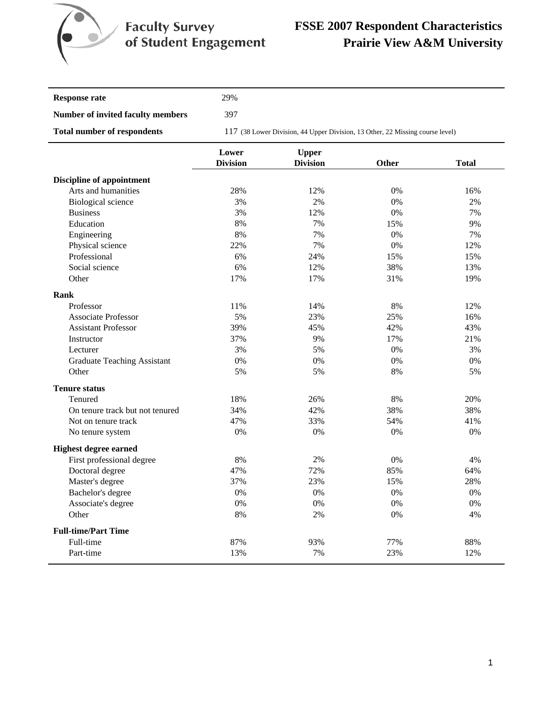

# **FSSE 2007 Respondent Characteristics Prairie View A&M University**

| Response rate                      | 29%       |
|------------------------------------|-----------|
| Number of invited faculty members  | 397       |
| <b>Total number of respondents</b> | 117 (38 I |

117 (38 Lower Division, 44 Upper Division, 13 Other, 22 Missing course level)

|                                    | Lower           | <b>Upper</b>    |       |              |
|------------------------------------|-----------------|-----------------|-------|--------------|
|                                    | <b>Division</b> | <b>Division</b> | Other | <b>Total</b> |
| <b>Discipline of appointment</b>   |                 |                 |       |              |
| Arts and humanities                | 28%             | 12%             | 0%    | 16%          |
| Biological science                 | 3%              | 2%              | $0\%$ | 2%           |
| <b>Business</b>                    | 3%              | 12%             | 0%    | 7%           |
| Education                          | 8%              | 7%              | 15%   | 9%           |
| Engineering                        | 8%              | 7%              | 0%    | 7%           |
| Physical science                   | 22%             | 7%              | 0%    | 12%          |
| Professional                       | 6%              | 24%             | 15%   | 15%          |
| Social science                     | 6%              | 12%             | 38%   | 13%          |
| Other                              | 17%             | 17%             | 31%   | 19%          |
| Rank                               |                 |                 |       |              |
| Professor                          | 11%             | 14%             | 8%    | 12%          |
| <b>Associate Professor</b>         | 5%              | 23%             | 25%   | 16%          |
| <b>Assistant Professor</b>         | 39%             | 45%             | 42%   | 43%          |
| Instructor                         | 37%             | 9%              | 17%   | 21%          |
| Lecturer                           | 3%              | 5%              | 0%    | 3%           |
| <b>Graduate Teaching Assistant</b> | 0%              | 0%              | 0%    | 0%           |
| Other                              | 5%              | 5%              | 8%    | 5%           |
| <b>Tenure status</b>               |                 |                 |       |              |
| Tenured                            | 18%             | 26%             | 8%    | 20%          |
| On tenure track but not tenured    | 34%             | 42%             | 38%   | 38%          |
| Not on tenure track                | 47%             | 33%             | 54%   | 41%          |
| No tenure system                   | 0%              | 0%              | 0%    | 0%           |
| <b>Highest degree earned</b>       |                 |                 |       |              |
| First professional degree          | 8%              | 2%              | 0%    | 4%           |
| Doctoral degree                    | 47%             | 72%             | 85%   | 64%          |
| Master's degree                    | 37%             | 23%             | 15%   | 28%          |
| Bachelor's degree                  | 0%              | 0%              | 0%    | 0%           |
| Associate's degree                 | 0%              | 0%              | 0%    | 0%           |
| Other                              | 8%              | 2%              | 0%    | 4%           |
| <b>Full-time/Part Time</b>         |                 |                 |       |              |
| Full-time                          | 87%             | 93%             | 77%   | 88%          |
| Part-time                          | 13%             | 7%              | 23%   | 12%          |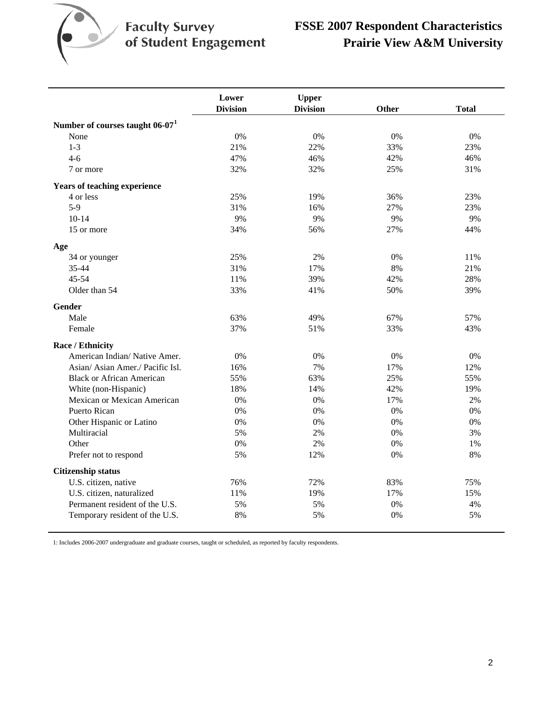

|                                             | Lower           | <b>Upper</b>    |       |              |
|---------------------------------------------|-----------------|-----------------|-------|--------------|
|                                             | <b>Division</b> | <b>Division</b> | Other | <b>Total</b> |
| Number of courses taught 06-07 <sup>1</sup> |                 |                 |       |              |
| None                                        | 0%              | 0%              | 0%    | 0%           |
| $1 - 3$                                     | 21%             | 22%             | 33%   | 23%          |
| $4 - 6$                                     | 47%             | 46%             | 42%   | 46%          |
| 7 or more                                   | 32%             | 32%             | 25%   | 31%          |
| <b>Years of teaching experience</b>         |                 |                 |       |              |
| 4 or less                                   | 25%             | 19%             | 36%   | 23%          |
| $5-9$                                       | 31%             | 16%             | 27%   | 23%          |
| $10-14$                                     | 9%              | 9%              | 9%    | 9%           |
| 15 or more                                  | 34%             | 56%             | 27%   | 44%          |
| Age                                         |                 |                 |       |              |
| 34 or younger                               | 25%             | 2%              | 0%    | 11%          |
| 35-44                                       | 31%             | 17%             | 8%    | 21%          |
| $45 - 54$                                   | 11%             | 39%             | 42%   | 28%          |
| Older than 54                               | 33%             | 41%             | 50%   | 39%          |
| Gender                                      |                 |                 |       |              |
| Male                                        | 63%             | 49%             | 67%   | 57%          |
| Female                                      | 37%             | 51%             | 33%   | 43%          |
| Race / Ethnicity                            |                 |                 |       |              |
| American Indian/Native Amer.                | 0%              | 0%              | 0%    | 0%           |
| Asian/Asian Amer./Pacific Isl.              | 16%             | 7%              | 17%   | 12%          |
| <b>Black or African American</b>            | 55%             | 63%             | 25%   | 55%          |
| White (non-Hispanic)                        | 18%             | 14%             | 42%   | 19%          |
| Mexican or Mexican American                 | 0%              | 0%              | 17%   | 2%           |
| Puerto Rican                                | 0%              | 0%              | 0%    | 0%           |
| Other Hispanic or Latino                    | 0%              | 0%              | 0%    | 0%           |
| Multiracial                                 | 5%              | 2%              | 0%    | 3%           |
| Other                                       | 0%              | 2%              | 0%    | 1%           |
| Prefer not to respond                       | 5%              | 12%             | 0%    | 8%           |
| <b>Citizenship status</b>                   |                 |                 |       |              |
| U.S. citizen, native                        | 76%             | 72%             | 83%   | 75%          |
| U.S. citizen, naturalized                   | 11%             | 19%             | 17%   | 15%          |
| Permanent resident of the U.S.              | 5%              | 5%              | 0%    | 4%           |
| Temporary resident of the U.S.              | 8%              | 5%              | 0%    | 5%           |

1: Includes 2006-2007 undergraduate and graduate courses, taught or scheduled, as reported by faculty respondents.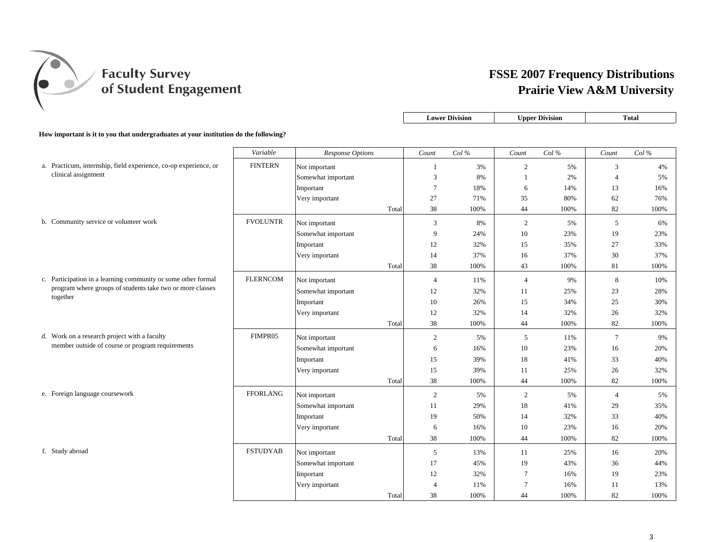

|                                                                                      |                 |                         |       |                | <b>Lower Division</b> |                | <b>Upper Division</b> |                | <b>Total</b> |
|--------------------------------------------------------------------------------------|-----------------|-------------------------|-------|----------------|-----------------------|----------------|-----------------------|----------------|--------------|
| How important is it to you that undergraduates at your institution do the following? |                 |                         |       |                |                       |                |                       |                |              |
|                                                                                      | Variable        | <b>Response Options</b> |       | Count          | Col%                  | Count          | Col%                  | Count          | Col%         |
| a. Practicum, internship, field experience, co-op experience, or                     | <b>FINTERN</b>  | Not important           |       | 1              | 3%                    | $\overline{2}$ | 5%                    | 3              | 4%           |
| clinical assignment                                                                  |                 | Somewhat important      |       | 3              | 8%                    | $\mathbf{1}$   | 2%                    | $\overline{4}$ | 5%           |
|                                                                                      |                 | Important               |       | $\tau$         | 18%                   | 6              | 14%                   | 13             | 16%          |
|                                                                                      |                 | Very important          |       | 27             | 71%                   | 35             | 80%                   | 62             | 76%          |
|                                                                                      |                 |                         | Total | 38             | 100%                  | 44             | 100%                  | 82             | 100%         |
| b. Community service or volunteer work                                               | <b>FVOLUNTR</b> | Not important           |       | 3              | 8%                    | $\overline{c}$ | 5%                    | 5              | 6%           |
|                                                                                      |                 | Somewhat important      |       | $\overline{9}$ | 24%                   | $10\,$         | 23%                   | 19             | 23%          |
|                                                                                      |                 | Important               |       | 12             | 32%                   | 15             | 35%                   | 27             | 33%          |
|                                                                                      |                 | Very important          |       | 14             | 37%                   | 16             | 37%                   | 30             | 37%          |
|                                                                                      |                 |                         | Total | 38             | 100%                  | 43             | 100%                  | 81             | 100%         |
| c. Participation in a learning community or some other formal                        | <b>FLERNCOM</b> | Not important           |       | $\overline{4}$ | 11%                   | $\overline{4}$ | 9%                    | 8              | 10%          |
| program where groups of students take two or more classes                            |                 | Somewhat important      |       | 12             | 32%                   | 11             | 25%                   | 23             | 28%          |
| together                                                                             |                 | Important               |       | 10             | 26%                   | 15             | 34%                   | 25             | 30%          |
|                                                                                      |                 | Very important          |       | 12             | 32%                   | 14             | 32%                   | 26             | 32%          |
|                                                                                      |                 |                         | Total | 38             | 100%                  | 44             | 100%                  | 82             | 100%         |
| d. Work on a research project with a faculty                                         | FIMPR05         | Not important           |       | $\overline{2}$ | 5%                    | 5              | 11%                   | $\tau$         | 9%           |
| member outside of course or program requirements                                     |                 | Somewhat important      |       | 6              | 16%                   | 10             | 23%                   | 16             | 20%          |
|                                                                                      |                 | Important               |       | 15             | 39%                   | 18             | 41%                   | 33             | 40%          |
|                                                                                      |                 | Very important          |       | 15             | 39%                   | 11             | 25%                   | 26             | 32%          |
|                                                                                      |                 |                         | Total | 38             | 100%                  | 44             | 100%                  | 82             | 100%         |
| e. Foreign language coursework                                                       | <b>FFORLANG</b> | Not important           |       | $\overline{2}$ | 5%                    | $\overline{c}$ | 5%                    | $\overline{4}$ | 5%           |
|                                                                                      |                 | Somewhat important      |       | 11             | 29%                   | 18             | 41%                   | 29             | 35%          |
|                                                                                      |                 | Important               |       | 19             | 50%                   | 14             | 32%                   | 33             | 40%          |
|                                                                                      |                 | Very important          |       | 6              | 16%                   | 10             | 23%                   | 16             | 20%          |
|                                                                                      |                 |                         | Total | 38             | 100%                  | 44             | 100%                  | 82             | 100%         |
| f. Study abroad                                                                      | <b>FSTUDYAB</b> | Not important           |       | 5              | 13%                   | 11             | 25%                   | 16             | 20%          |
|                                                                                      |                 | Somewhat important      |       | 17             | 45%                   | 19             | 43%                   | 36             | 44%          |
|                                                                                      |                 | Important               |       | 12             | 32%                   | $\tau$         | 16%                   | 19             | 23%          |
|                                                                                      |                 | Very important          |       | 4              | 11%                   | $\tau$         | 16%                   | 11             | 13%          |
|                                                                                      |                 |                         | Total | 38             | 100%                  | 44             | 100%                  | 82             | 100%         |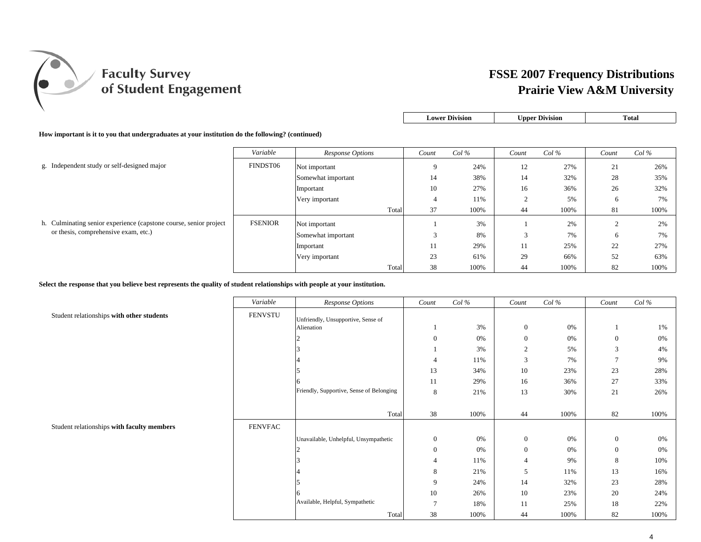

| <b>Lower Division</b> | Upper Division | ∵otal |
|-----------------------|----------------|-------|
|                       |                |       |

**How important is it to you that undergraduates at your institution do the following? (continued)**

|                                                                   | Variable       | Response Options   | Count          | $Col\%$ | Count  | $Col\%$ | Count  | $Col\%$ |
|-------------------------------------------------------------------|----------------|--------------------|----------------|---------|--------|---------|--------|---------|
| g. Independent study or self-designed major                       | FINDST06       | Not important      | 9              | 24%     | 12     | 27%     | 21     | 26%     |
|                                                                   |                | Somewhat important | 14             | 38%     | 14     | 32%     | 28     | 35%     |
|                                                                   |                | Important          | 10             | 27%     | 16     | 36%     | 26     | 32%     |
|                                                                   |                | Very important     | $\overline{a}$ | 11%     | ∠      | 5%      | 6      | 7%      |
|                                                                   |                | Total              | 37             | 100%    | 44     | 100%    | 81     | 100%    |
| h. Culminating senior experience (capstone course, senior project | <b>FSENIOR</b> | Not important      |                | 3%      |        | 2%      | $\sim$ | 2%      |
| or thesis, comprehensive exam, etc.)                              |                | Somewhat important | $\sim$         | 8%      | $\sim$ | 7%      | 6      | 7%      |
|                                                                   |                | Important          | 11             | 29%     | 11     | 25%     | 22     | 27%     |
|                                                                   |                | Very important     | 23             | 61%     | 29     | 66%     | 52     | 63%     |
|                                                                   |                | Total              | 38             | 100%    | 44     | 100%    | 82     | 100%    |

**Select the response that you believe best represents the quality of student relationships with people at your institution.**

|                                            | Variable       | Response Options                         | Count          | $Col\%$ | Count          | Col% | Count        | Col% |
|--------------------------------------------|----------------|------------------------------------------|----------------|---------|----------------|------|--------------|------|
| Student relationships with other students  | <b>FENVSTU</b> | Unfriendly, Unsupportive, Sense of       |                |         |                |      |              |      |
|                                            |                | Alienation                               |                | 3%      | $\mathbf{0}$   | 0%   |              | 1%   |
|                                            |                |                                          | $\mathbf{0}$   | 0%      | $\overline{0}$ | 0%   | $\mathbf{0}$ | 0%   |
|                                            |                |                                          |                | 3%      | 2              | 5%   | 3            | 4%   |
|                                            |                |                                          | 4              | 11%     | 3              | 7%   | 7            | 9%   |
|                                            |                |                                          | 13             | 34%     | 10             | 23%  | 23           | 28%  |
|                                            |                |                                          | 11             | 29%     | 16             | 36%  | 27           | 33%  |
|                                            |                | Friendly, Supportive, Sense of Belonging | 8              | 21%     | 13             | 30%  | 21           | 26%  |
|                                            |                |                                          |                |         |                |      |              |      |
|                                            |                | Total                                    | 38             | 100%    | 44             | 100% | 82           | 100% |
| Student relationships with faculty members | <b>FENVFAC</b> |                                          |                |         |                |      |              |      |
|                                            |                | Unavailable, Unhelpful, Unsympathetic    | $\mathbf{0}$   | 0%      | $\overline{0}$ | 0%   | $\mathbf{0}$ | 0%   |
|                                            |                |                                          | $\mathbf{0}$   | 0%      | $\overline{0}$ | 0%   | $\mathbf{0}$ | 0%   |
|                                            |                |                                          | $\overline{4}$ | 11%     | $\overline{4}$ | 9%   | 8            | 10%  |
|                                            |                |                                          | 8              | 21%     | 5              | 11%  | 13           | 16%  |
|                                            |                |                                          | 9              | 24%     | 14             | 32%  | 23           | 28%  |
|                                            |                |                                          | 10             | 26%     | 10             | 23%  | 20           | 24%  |
|                                            |                | Available, Helpful, Sympathetic          | $\overline{ }$ | 18%     | 11             | 25%  | 18           | 22%  |
|                                            |                | Total                                    | 38             | 100%    | 44             | 100% | 82           | 100% |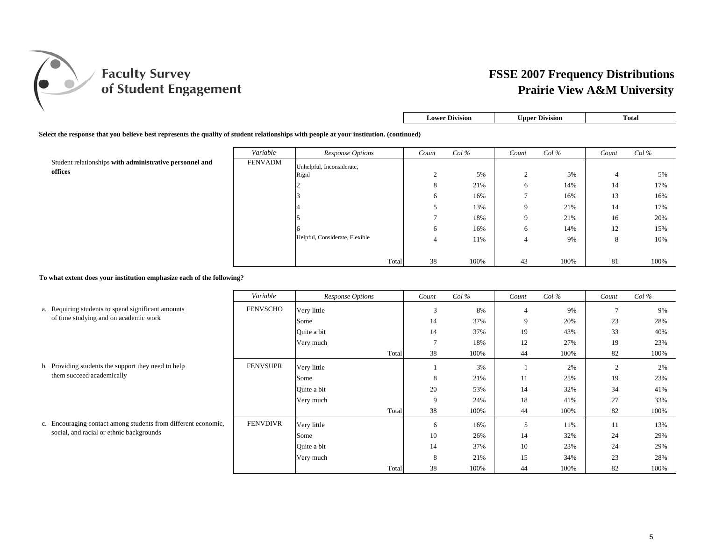

| <b>Lower Division</b> | <b>Upper Division</b> | Total |
|-----------------------|-----------------------|-------|
|-----------------------|-----------------------|-------|

#### **Select the response that you believe best represents the quality of student relationships with people at your institution. (continued)**

|                                                         | Variable | Response Options               | Count  | $Col\%$ | Count       | $Col\%$ | Count | $Col\%$ |
|---------------------------------------------------------|----------|--------------------------------|--------|---------|-------------|---------|-------|---------|
| Student relationships with administrative personnel and | FENVADM  | Unhelpful, Inconsiderate,      |        |         |             |         |       |         |
| offices                                                 | Rigid    |                                | $\sim$ | 5%      | $\sim$<br>∼ | 5%      |       | 5%      |
|                                                         |          |                                | 8      | 21%     |             | 14%     | 14    | 17%     |
|                                                         |          |                                | 6      | 16%     |             | 16%     | 13    | 16%     |
|                                                         |          |                                | J      | 13%     |             | 21%     | 14    | 17%     |
|                                                         |          |                                |        | 18%     |             | 21%     | 16    | 20%     |
|                                                         |          |                                | 6      | 16%     | O           | 14%     | 12    | 15%     |
|                                                         |          | Helpful, Considerate, Flexible | 4      | 11%     |             | 9%      | 8     | 10%     |
|                                                         |          |                                |        |         |             |         |       |         |
|                                                         |          | Total                          | 38     | 100%    | 43          | 100%    | 81    | 100%    |

#### **To what extent does your institution emphasize each of the following?**

|                                                                | Variable        | Response Options |       | Count         | $Col\%$ | Count          | $Col\%$ | Count | $Col\%$ |
|----------------------------------------------------------------|-----------------|------------------|-------|---------------|---------|----------------|---------|-------|---------|
| a. Requiring students to spend significant amounts             | <b>FENVSCHO</b> | Very little      |       | 3             | 8%      | $\overline{4}$ | 9%      |       | 9%      |
| of time studying and on academic work                          |                 | Some             |       | 14            | 37%     | 9              | 20%     | 23    | 28%     |
|                                                                |                 | Quite a bit      |       | 14            | 37%     | 19             | 43%     | 33    | 40%     |
|                                                                |                 | Very much        |       | $\mathcal{I}$ | 18%     | 12             | 27%     | 19    | 23%     |
|                                                                |                 |                  | Total | 38            | 100%    | 44             | 100%    | 82    | 100%    |
| b. Providing students the support they need to help            | <b>FENVSUPR</b> | Very little      |       |               | 3%      |                | 2%      | 2     | 2%      |
| them succeed academically                                      |                 | Some             |       | 8             | 21%     | 11             | 25%     | 19    | 23%     |
|                                                                |                 | Quite a bit      |       | 20            | 53%     | 14             | 32%     | 34    | 41%     |
|                                                                |                 | Very much        |       | 9             | 24%     | 18             | 41%     | 27    | 33%     |
|                                                                |                 |                  | Total | 38            | 100%    | 44             | 100%    | 82    | 100%    |
| c. Encouraging contact among students from different economic, | <b>FENVDIVR</b> | Very little      |       | 6             | 16%     | 5              | 11%     | 11    | 13%     |
| social, and racial or ethnic backgrounds                       |                 | Some             |       | 10            | 26%     | 14             | 32%     | 24    | 29%     |
|                                                                |                 | Quite a bit      |       | 14            | 37%     | 10             | 23%     | 24    | 29%     |
|                                                                |                 | Very much        |       | 8             | 21%     | 15             | 34%     | 23    | 28%     |
|                                                                |                 |                  | Total | 38            | 100%    | 44             | 100%    | 82    | 100%    |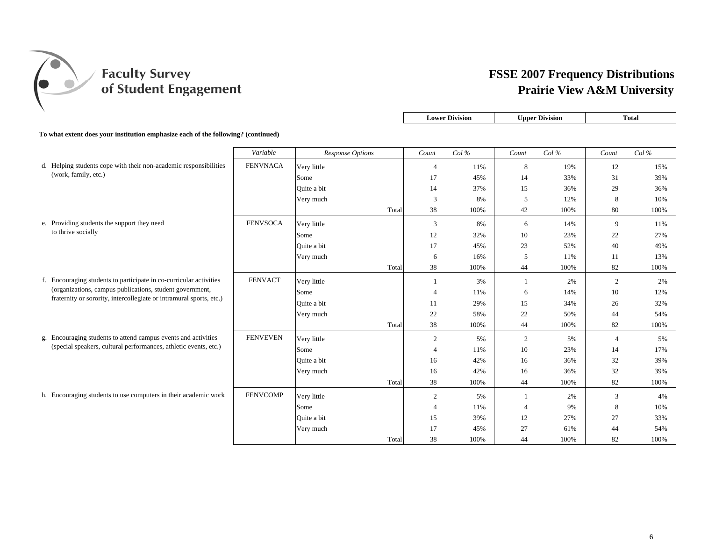

|                                                                                   |                 |                  |       | <b>Lower Division</b> |      | <b>Upper Division</b> |      |                | <b>Total</b> |
|-----------------------------------------------------------------------------------|-----------------|------------------|-------|-----------------------|------|-----------------------|------|----------------|--------------|
| To what extent does your institution emphasize each of the following? (continued) |                 |                  |       |                       |      |                       |      |                |              |
|                                                                                   | Variable        | Response Options |       | Count                 | Col% | Count                 | Col% | Count          | Col%         |
| d. Helping students cope with their non-academic responsibilities                 | <b>FENVNACA</b> | Very little      |       | $\overline{4}$        | 11%  | 8                     | 19%  | 12             | 15%          |
| (work, family, etc.)                                                              |                 | Some             |       | 17                    | 45%  | 14                    | 33%  | 31             | 39%          |
|                                                                                   |                 | Ouite a bit      |       | 14                    | 37%  | 15                    | 36%  | 29             | 36%          |
|                                                                                   |                 | Very much        |       | 3                     | 8%   | 5                     | 12%  | 8              | 10%          |
|                                                                                   |                 |                  | Total | 38                    | 100% | 42                    | 100% | 80             | 100%         |
| e. Providing students the support they need                                       | <b>FENVSOCA</b> | Very little      |       | 3                     | 8%   | 6                     | 14%  | 9              | 11%          |
| to thrive socially                                                                |                 | Some             |       | 12                    | 32%  | 10                    | 23%  | 22             | 27%          |
|                                                                                   |                 | Ouite a bit      |       | 17                    | 45%  | 23                    | 52%  | 40             | 49%          |
|                                                                                   |                 | Very much        |       | 6                     | 16%  | 5                     | 11%  | 11             | 13%          |
|                                                                                   |                 |                  | Total | 38                    | 100% | 44                    | 100% | 82             | 100%         |
| f. Encouraging students to participate in co-curricular activities                | <b>FENVACT</b>  | Very little      |       | -1                    | 3%   | $\mathbf{1}$          | 2%   | $\overline{c}$ | 2%           |
| (organizations, campus publications, student government,                          |                 | Some             |       | $\overline{4}$        | 11%  | 6                     | 14%  | 10             | 12%          |
| fraternity or sorority, intercollegiate or intramural sports, etc.)               |                 | Ouite a bit      |       | 11                    | 29%  | 15                    | 34%  | 26             | 32%          |
|                                                                                   |                 | Very much        |       | 22                    | 58%  | 22                    | 50%  | 44             | 54%          |
|                                                                                   |                 |                  | Total | 38                    | 100% | 44                    | 100% | 82             | 100%         |
| g. Encouraging students to attend campus events and activities                    | <b>FENVEVEN</b> | Very little      |       | $\overline{2}$        | 5%   | $\overline{2}$        | 5%   | 4              | 5%           |
| (special speakers, cultural performances, athletic events, etc.)                  |                 | Some             |       | $\overline{4}$        | 11%  | 10                    | 23%  | 14             | 17%          |
|                                                                                   |                 | Quite a bit      |       | 16                    | 42%  | 16                    | 36%  | 32             | 39%          |
|                                                                                   |                 | Very much        |       | 16                    | 42%  | 16                    | 36%  | 32             | 39%          |
|                                                                                   |                 |                  | Total | 38                    | 100% | 44                    | 100% | 82             | 100%         |
| h. Encouraging students to use computers in their academic work                   | <b>FENVCOMP</b> | Very little      |       | $\overline{2}$        | 5%   | 1                     | 2%   | 3              | 4%           |
|                                                                                   |                 | Some             |       | $\overline{4}$        | 11%  | $\overline{4}$        | 9%   | 8              | 10%          |
|                                                                                   |                 | Ouite a bit      |       | 15                    | 39%  | 12                    | 27%  | 27             | 33%          |
|                                                                                   |                 | Very much        |       | 17                    | 45%  | 27                    | 61%  | 44             | 54%          |
|                                                                                   |                 |                  | Total | 38                    | 100% | 44                    | 100% | 82             | 100%         |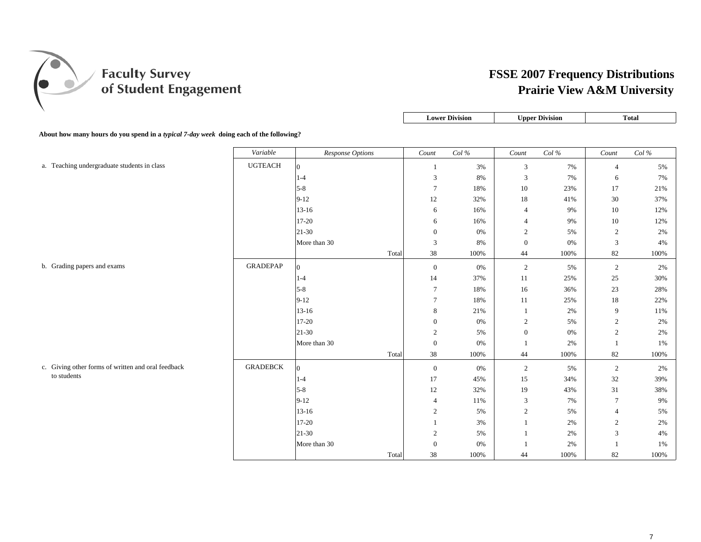

|                                                                                        |                 |                  |       | <b>Lower Division</b> |          |                | <b>Upper Division</b> |                 | <b>Total</b> |
|----------------------------------------------------------------------------------------|-----------------|------------------|-------|-----------------------|----------|----------------|-----------------------|-----------------|--------------|
| About how many hours do you spend in a typical 7-day week doing each of the following? |                 |                  |       |                       |          |                |                       |                 |              |
|                                                                                        | Variable        | Response Options |       | Count                 | Col $\%$ | $Count$        | Col $\%$              | $Count$         | Col $\%$     |
| a. Teaching undergraduate students in class                                            | <b>UGTEACH</b>  | $\Omega$         |       | 1                     | 3%       | 3              | 7%                    | $\overline{4}$  | 5%           |
|                                                                                        |                 | $1-4$            |       | 3                     | 8%       | 3              | 7%                    | 6               | 7%           |
|                                                                                        |                 | $5 - 8$          |       | $\overline{7}$        | 18%      | $10\,$         | 23%                   | 17              | 21%          |
|                                                                                        |                 | $9 - 12$         |       | 12                    | 32%      | 18             | 41%                   | 30              | 37%          |
|                                                                                        |                 | $13-16$          |       | $\sqrt{6}$            | 16%      | $\overline{4}$ | 9%                    | 10              | 12%          |
|                                                                                        |                 | $17 - 20$        |       | 6                     | 16%      | $\overline{4}$ | 9%                    | 10              | 12%          |
|                                                                                        |                 | $21-30$          |       | $\mathbf{0}$          | $0\%$    | $\overline{2}$ | 5%                    | 2               | 2%           |
|                                                                                        |                 | More than 30     |       | 3                     | 8%       | $\mathbf{0}$   | 0%                    | 3               | 4%           |
|                                                                                        |                 |                  | Total | 38                    | 100%     | 44             | 100%                  | 82              | 100%         |
| b. Grading papers and exams                                                            | <b>GRADEPAP</b> | $\Omega$         |       | $\mathbf{0}$          | 0%       | 2              | 5%                    | 2               | 2%           |
|                                                                                        |                 | $1 - 4$          |       | 14                    | 37%      | 11             | 25%                   | 25              | 30%          |
|                                                                                        |                 | $5 - 8$          |       | 7                     | 18%      | 16             | 36%                   | 23              | 28%          |
|                                                                                        |                 | $9 - 12$         |       | $\tau$                | 18%      | 11             | 25%                   | 18              | 22%          |
|                                                                                        |                 | $13 - 16$        |       | 8                     | 21%      | -1             | 2%                    | 9               | 11%          |
|                                                                                        |                 | $17 - 20$        |       | $\boldsymbol{0}$      | 0%       | $\overline{c}$ | 5%                    | $\overline{2}$  | 2%           |
|                                                                                        |                 | $21-30$          |       | $\overline{2}$        | 5%       | $\mathbf{0}$   | 0%                    | 2               | 2%           |
|                                                                                        |                 | More than 30     |       | $\boldsymbol{0}$      | 0%       |                | 2%                    | $\mathbf{1}$    | 1%           |
|                                                                                        |                 |                  | Total | 38                    | 100%     | 44             | 100%                  | 82              | 100%         |
| c. Giving other forms of written and oral feedback                                     | <b>GRADEBCK</b> | $\Omega$         |       | $\boldsymbol{0}$      | 0%       | 2              | 5%                    | 2               | 2%           |
| to students                                                                            |                 | $1 - 4$          |       | 17                    | 45%      | 15             | 34%                   | $32\,$          | 39%          |
|                                                                                        |                 | $5 - 8$          |       | 12                    | 32%      | 19             | 43%                   | 31              | 38%          |
|                                                                                        |                 | $9 - 12$         |       | $\overline{4}$        | 11%      | 3              | 7%                    | $7\phantom{.0}$ | 9%           |
|                                                                                        |                 | $13 - 16$        |       | $\overline{2}$        | 5%       | $\overline{2}$ | 5%                    | $\overline{4}$  | 5%           |
|                                                                                        |                 | $17 - 20$        |       | -1                    | 3%       | $\overline{1}$ | 2%                    | $\overline{2}$  | 2%           |
|                                                                                        |                 | $21-30$          |       | $\overline{c}$        | 5%       |                | 2%                    | $\mathfrak{Z}$  | 4%           |
|                                                                                        |                 | More than 30     |       | $\boldsymbol{0}$      | 0%       |                | 2%                    | $\mathbf{1}$    | 1%           |
|                                                                                        |                 |                  | Total | 38                    | 100%     | 44             | 100%                  | 82              | 100%         |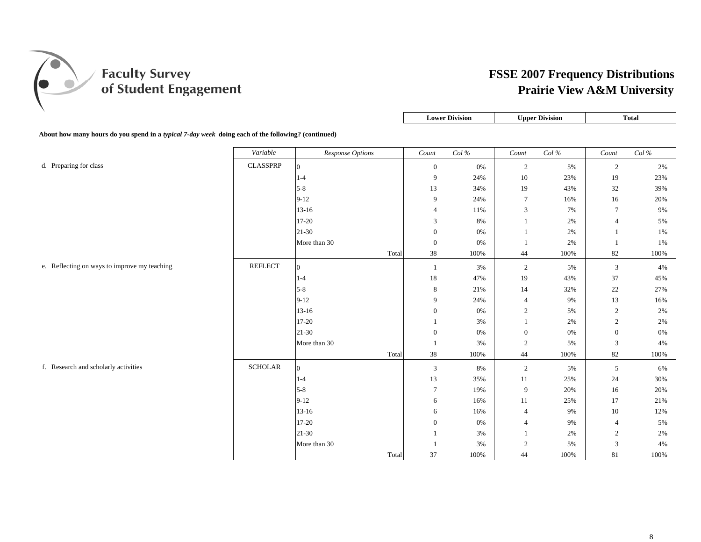

|                                                                                                           | Lower Division | <b>Upper Division</b> | Total |
|-----------------------------------------------------------------------------------------------------------|----------------|-----------------------|-------|
|                                                                                                           |                |                       |       |
| About how many hours do you spend in a <i>typical 7-day week</i> doing each of the following? (continued) |                |                       |       |

|                                              | Variable        | Response Options | Count            | $Col\,\%$ | $Count$          | Col $\%$ | Count            | Col $\%$ |
|----------------------------------------------|-----------------|------------------|------------------|-----------|------------------|----------|------------------|----------|
| d. Preparing for class                       | <b>CLASSPRP</b> | $\Omega$         | $\mathbf{0}$     | 0%        | $\overline{2}$   | 5%       | 2                | 2%       |
|                                              |                 | $1 - 4$          | 9                | 24%       | 10               | 23%      | $19\,$           | 23%      |
|                                              |                 | $5 - 8$          | 13               | 34%       | 19               | 43%      | $32\,$           | 39%      |
|                                              |                 | $9 - 12$         | 9                | 24%       | $\tau$           | 16%      | 16               | 20%      |
|                                              |                 | $13 - 16$        | $\overline{4}$   | 11%       | $\mathfrak{Z}$   | 7%       | $\tau$           | 9%       |
|                                              |                 | 17-20            | 3                | 8%        |                  | 2%       | $\overline{4}$   | 5%       |
|                                              |                 | $21 - 30$        | $\boldsymbol{0}$ | 0%        |                  | 2%       | 1                | 1%       |
|                                              |                 | More than 30     | $\mathbf{0}$     | $0\%$     |                  | 2%       | -1               | 1%       |
|                                              |                 | Total            | 38               | 100%      | 44               | 100%     | 82               | 100%     |
| e. Reflecting on ways to improve my teaching | <b>REFLECT</b>  | $\overline{0}$   | -1               | 3%        | $\overline{c}$   | 5%       | 3                | 4%       |
|                                              |                 | $1 - 4$          | $18\,$           | 47%       | 19               | 43%      | 37               | 45%      |
|                                              |                 | $5 - 8$          | 8                | 21%       | 14               | 32%      | 22               | 27%      |
|                                              |                 | $9-12$           | 9                | 24%       | $\overline{4}$   | 9%       | 13               | 16%      |
|                                              |                 | $13-16$          | $\mathbf{0}$     | 0%        | $\overline{2}$   | 5%       | $\sqrt{2}$       | 2%       |
|                                              |                 | 17-20            |                  | 3%        | $\mathbf{1}$     | 2%       | 2                | 2%       |
|                                              |                 | 21-30            | $\mathbf{0}$     | 0%        | $\boldsymbol{0}$ | 0%       | $\boldsymbol{0}$ | 0%       |
|                                              |                 | More than 30     | -1               | 3%        | $\overline{2}$   | 5%       | $\mathfrak{Z}$   | 4%       |
|                                              |                 | Total            | 38               | 100%      | 44               | 100%     | 82               | 100%     |
| f. Research and scholarly activities         | <b>SCHOLAR</b>  | $\overline{0}$   | 3                | 8%        | $\overline{2}$   | 5%       | 5                | 6%       |
|                                              |                 | $1 - 4$          | 13               | 35%       | 11               | 25%      | 24               | 30%      |
|                                              |                 | $5 - 8$          | $\overline{7}$   | 19%       | 9                | 20%      | 16               | 20%      |
|                                              |                 | $9-12$           | 6                | 16%       | 11               | 25%      | 17               | 21%      |
|                                              |                 | $13-16$          | 6                | 16%       | $\overline{4}$   | 9%       | 10               | 12%      |
|                                              |                 | 17-20            | $\mathbf{0}$     | 0%        | $\overline{4}$   | 9%       | $\overline{4}$   | 5%       |
|                                              |                 | $21-30$          | $\overline{1}$   | 3%        | 1                | 2%       | $\overline{c}$   | 2%       |
|                                              |                 | More than 30     | $\overline{1}$   | $3\%$     | 2                | 5%       | 3                | $4\%$    |
|                                              |                 | Total            | 37               | 100%      | 44               | 100%     | 81               | 100%     |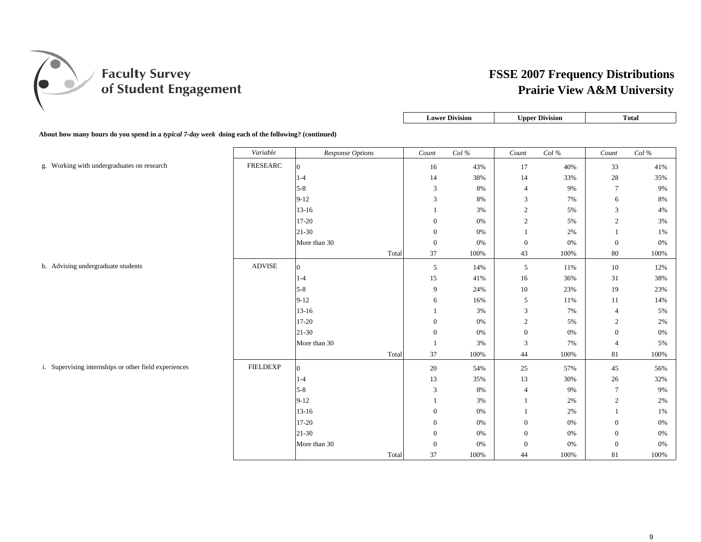

| <b>Lower Division</b> | <b>Upper Division</b> | `ota. |
|-----------------------|-----------------------|-------|
|                       |                       |       |

**About how many hours do you spend in a** *typical 7-day week* **doing each of the following? (continued)**

|                                                       | Variable         | <b>Response Options</b> |       | $Count$          | $Col\,\%$ | Count            | $Col\,\%$ | $Count$          | Col $\%$ |
|-------------------------------------------------------|------------------|-------------------------|-------|------------------|-----------|------------------|-----------|------------------|----------|
| g. Working with undergraduates on research            | ${\tt FRESEARC}$ | $\overline{0}$          |       | 16               | 43%       | 17               | 40%       | 33               | 41%      |
|                                                       |                  | $1 - 4$                 |       | 14               | 38%       | 14               | 33%       | $28\,$           | 35%      |
|                                                       |                  | $5-8$                   |       | 3                | 8%        | $\overline{4}$   | 9%        | $\tau$           | 9%       |
|                                                       |                  | $9 - 12$                |       | 3                | $8\%$     | 3                | 7%        | 6                | 8%       |
|                                                       |                  | $13 - 16$               |       |                  | 3%        | $\sqrt{2}$       | 5%        | $\mathfrak{Z}$   | 4%       |
|                                                       |                  | 17-20                   |       | $\boldsymbol{0}$ | 0%        | $\sqrt{2}$       | 5%        | $\boldsymbol{2}$ | 3%       |
|                                                       |                  | $21 - 30$               |       | $\mathbf{0}$     | 0%        |                  | 2%        |                  | 1%       |
|                                                       |                  | More than 30            |       | $\mathbf{0}$     | 0%        | $\boldsymbol{0}$ | 0%        | $\mathbf{0}$     | $0\%$    |
|                                                       |                  |                         | Total | 37               | 100%      | 43               | 100%      | $80\,$           | 100%     |
| h. Advising undergraduate students                    | <b>ADVISE</b>    | $\overline{0}$          |       | $\overline{5}$   | 14%       | $\sqrt{5}$       | 11%       | 10               | 12%      |
|                                                       |                  | $1 - 4$                 |       | 15               | 41%       | 16               | 36%       | 31               | 38%      |
|                                                       |                  | $5 - 8$                 |       | $\boldsymbol{9}$ | 24%       | 10               | 23%       | $19\,$           | 23%      |
|                                                       |                  | $9 - 12$                |       | 6                | 16%       | $\sqrt{5}$       | 11%       | 11               | 14%      |
|                                                       |                  | $13-16$                 |       |                  | 3%        | 3                | 7%        | $\overline{4}$   | 5%       |
|                                                       |                  | 17-20                   |       | $\mathbf{0}$     | 0%        | $\boldsymbol{2}$ | 5%        | $\overline{c}$   | 2%       |
|                                                       |                  | $21-30$                 |       | $\mathbf{0}$     | 0%        | $\boldsymbol{0}$ | 0%        | $\mathbf{0}$     | $0\%$    |
|                                                       |                  | More than 30            |       | $\overline{1}$   | 3%        | 3                | 7%        | $\overline{4}$   | 5%       |
|                                                       |                  |                         | Total | 37               | 100%      | 44               | 100%      | 81               | 100%     |
| i. Supervising internships or other field experiences | <b>FIELDEXP</b>  | $\mathbf{0}$            |       | $20\,$           | 54%       | 25               | 57%       | $45\,$           | 56%      |
|                                                       |                  | $1 - 4$                 |       | 13               | 35%       | 13               | 30%       | 26               | 32%      |
|                                                       |                  | $5-8$                   |       | 3                | $8\%$     | $\overline{4}$   | 9%        | $\tau$           | 9%       |
|                                                       |                  | $9-12$                  |       |                  | 3%        | $\mathbf{1}$     | 2%        | $\sqrt{2}$       | 2%       |
|                                                       |                  | $13-16$                 |       | $\mathbf{0}$     | 0%        | $\mathbf{1}$     | 2%        | $\mathbf{1}$     | 1%       |
|                                                       |                  | $17 - 20$               |       | $\mathbf{0}$     | 0%        | $\mathbf{0}$     | 0%        | $\mathbf{0}$     | 0%       |
|                                                       |                  | $21 - 30$               |       | $\mathbf{0}$     | $0\%$     | $\boldsymbol{0}$ | $0\%$     | $\mathbf{0}$     | $0\%$    |
|                                                       |                  | More than 30            |       | $\mathbf{0}$     | 0%        | $\mathbf{0}$     | $0\%$     | $\mathbf{0}$     | $0\%$    |
|                                                       |                  |                         | Total | 37               | 100%      | 44               | 100%      | 81               | 100%     |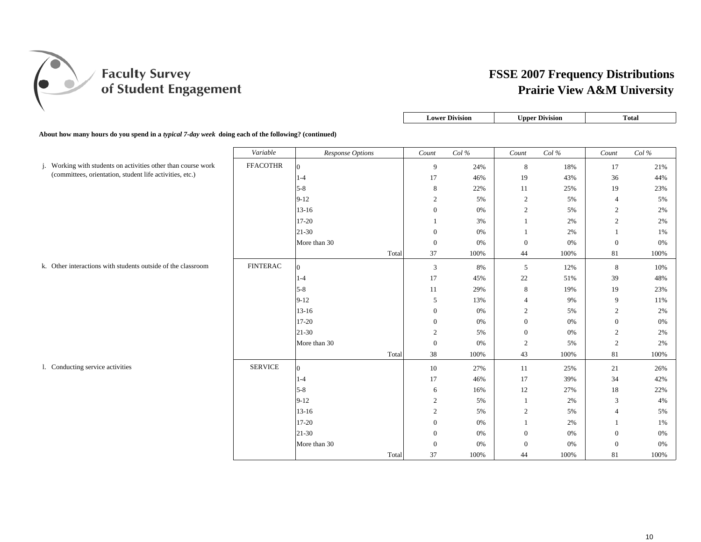

|                  |                | <b>Lower Division</b><br><b>Upper Division</b> |                | <b>Total</b>      |        |                   |
|------------------|----------------|------------------------------------------------|----------------|-------------------|--------|-------------------|
| nued)            |                |                                                |                |                   |        |                   |
| Response Options | Count          | $Col\%$                                        | Count          | $Col \mathcal{C}$ | Count  | $Col\%$           |
|                  | 9              | 24%                                            | 8              | 18%               | 17     | 21%               |
|                  | 17             | 46%                                            | 19             | 43%               | 36     | 44%               |
|                  | 8              | 22%                                            | 11             | 25%               | 19     | 23%               |
|                  | $\overline{c}$ | 5%                                             | $\overline{c}$ | 5%                | 4      | 5%                |
|                  | $\sim$         | 0 <sup>0</sup>                                 | $\sim$         | $\sim$ 0.4        | $\sim$ | $\Delta \Delta t$ |

About how many hours do you spend in a *typical 7-day week* doing each of the following? (continued)

|                                                               | Variable        | <b>Response Options</b> |       | Count            | Col% | Count          | Col % | Count            | Col% |
|---------------------------------------------------------------|-----------------|-------------------------|-------|------------------|------|----------------|-------|------------------|------|
| j. Working with students on activities other than course work | <b>FFACOTHR</b> | $\Omega$                |       | 9                | 24%  | 8              | 18%   | 17               | 21%  |
| (committees, orientation, student life activities, etc.)      |                 | $1 - 4$                 |       | 17               | 46%  | 19             | 43%   | 36               | 44%  |
|                                                               |                 | $5 - 8$                 |       | 8                | 22%  | 11             | 25%   | 19               | 23%  |
|                                                               |                 | $9 - 12$                |       | $\overline{2}$   | 5%   | $\overline{c}$ | 5%    | $\overline{4}$   | 5%   |
|                                                               |                 | $13 - 16$               |       | $\boldsymbol{0}$ | 0%   | $\overline{c}$ | 5%    | 2                | 2%   |
|                                                               |                 | $17 - 20$               |       |                  | 3%   | $\mathbf{1}$   | 2%    | $\overline{c}$   | 2%   |
|                                                               |                 | $21-30$                 |       | $\theta$         | 0%   | $\overline{1}$ | 2%    | 1                | 1%   |
|                                                               |                 | More than 30            |       | $\boldsymbol{0}$ | 0%   | $\mathbf{0}$   | 0%    | $\mathbf{0}$     | 0%   |
|                                                               |                 |                         | Total | 37               | 100% | 44             | 100%  | 81               | 100% |
| k. Other interactions with students outside of the classroom  | <b>FINTERAC</b> | $\Omega$                |       | 3                | 8%   | 5              | 12%   | 8                | 10%  |
|                                                               |                 | $1-4$                   |       | 17               | 45%  | 22             | 51%   | 39               | 48%  |
|                                                               |                 | $5 - 8$                 |       | 11               | 29%  | $8\,$          | 19%   | 19               | 23%  |
|                                                               |                 | $9 - 12$                |       | 5                | 13%  | $\overline{4}$ | 9%    | 9                | 11%  |
|                                                               |                 | $13 - 16$               |       | $\mathbf{0}$     | 0%   | 2              | 5%    | $\overline{c}$   | 2%   |
|                                                               |                 | $17 - 20$               |       | $\boldsymbol{0}$ | 0%   | $\overline{0}$ | 0%    | $\boldsymbol{0}$ | 0%   |
|                                                               |                 | $21-30$                 |       | $\overline{2}$   | 5%   | $\mathbf{0}$   | 0%    | 2                | 2%   |
|                                                               |                 | More than 30            |       | $\boldsymbol{0}$ | 0%   | $\overline{c}$ | 5%    | $\overline{2}$   | 2%   |
|                                                               |                 |                         | Total | 38               | 100% | 43             | 100%  | 81               | 100% |
| 1. Conducting service activities                              | <b>SERVICE</b>  | $\Omega$                |       | 10               | 27%  | 11             | 25%   | 21               | 26%  |
|                                                               |                 | 1-4                     |       | 17               | 46%  | 17             | 39%   | 34               | 42%  |
|                                                               |                 | $5 - 8$                 |       | 6                | 16%  | 12             | 27%   | $18\,$           | 22%  |
|                                                               |                 | $9 - 12$                |       | $\overline{2}$   | 5%   | -1             | 2%    | 3                | 4%   |
|                                                               |                 | $13 - 16$               |       | $\overline{2}$   | 5%   | $\overline{2}$ | 5%    | $\overline{4}$   | 5%   |
|                                                               |                 | $17 - 20$               |       | $\mathbf{0}$     | 0%   | $\overline{1}$ | 2%    |                  | 1%   |
|                                                               |                 | $21-30$                 |       | $\theta$         | 0%   | $\overline{0}$ | 0%    | $\boldsymbol{0}$ | 0%   |
|                                                               |                 | More than 30            |       | $\mathbf{0}$     | 0%   | $\mathbf{0}$   | 0%    | $\boldsymbol{0}$ | 0%   |
|                                                               |                 |                         | Total | 37               | 100% | 44             | 100%  | 81               | 100% |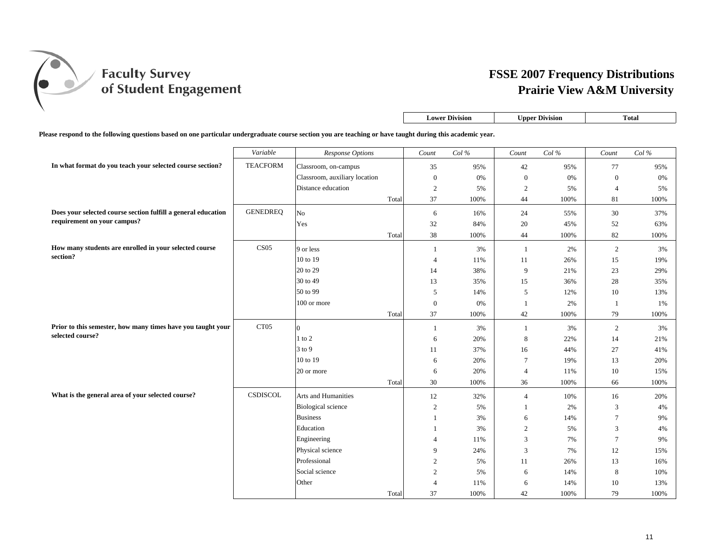

|                                                                                                                                                           |                  |                               |       | <b>Lower Division</b> |                   | <b>Upper Division</b> |          | <b>Total</b>     |           |
|-----------------------------------------------------------------------------------------------------------------------------------------------------------|------------------|-------------------------------|-------|-----------------------|-------------------|-----------------------|----------|------------------|-----------|
| Please respond to the following questions based on one particular undergraduate course section you are teaching or have taught during this academic year. |                  |                               |       |                       |                   |                       |          |                  |           |
|                                                                                                                                                           | Variable         | Response Options              |       | Count                 | $Col \mathcal{C}$ | Count                 | Col $\%$ | Count            | $Col\,\%$ |
| In what format do you teach your selected course section?                                                                                                 | <b>TEACFORM</b>  | Classroom, on-campus          |       | 35                    | 95%               | 42                    | 95%      | 77               | 95%       |
|                                                                                                                                                           |                  | Classroom, auxiliary location |       | $\boldsymbol{0}$      | $0\%$             | $\boldsymbol{0}$      | 0%       | $\boldsymbol{0}$ | 0%        |
|                                                                                                                                                           |                  | Distance education            |       | $\overline{2}$        | 5%                | $\sqrt{2}$            | 5%       | $\overline{4}$   | 5%        |
|                                                                                                                                                           |                  |                               | Total | 37                    | 100%              | 44                    | 100%     | 81               | 100%      |
| Does your selected course section fulfill a general education                                                                                             | <b>GENEDREQ</b>  | N <sub>o</sub>                |       | 6                     | 16%               | 24                    | 55%      | 30               | 37%       |
| requirement on your campus?                                                                                                                               |                  | Yes                           |       | 32                    | 84%               | 20                    | 45%      | 52               | 63%       |
|                                                                                                                                                           |                  |                               | Total | 38                    | 100%              | 44                    | 100%     | 82               | 100%      |
| How many students are enrolled in your selected course                                                                                                    | CS <sub>05</sub> | 9 or less                     |       | 1                     | 3%                | 1                     | 2%       | 2                | 3%        |
| section?                                                                                                                                                  |                  | 10 to 19                      |       | $\overline{4}$        | 11%               | 11                    | 26%      | 15               | 19%       |
|                                                                                                                                                           |                  | 20 to 29                      |       | 14                    | 38%               | 9                     | 21%      | 23               | 29%       |
|                                                                                                                                                           |                  | 30 to 49                      |       | 13                    | 35%               | 15                    | 36%      | 28               | 35%       |
|                                                                                                                                                           |                  | 50 to 99                      |       | 5                     | 14%               | $\overline{5}$        | 12%      | $10\,$           | 13%       |
|                                                                                                                                                           |                  | $100$ or more                 |       | $\boldsymbol{0}$      | 0%                | 1                     | 2%       | $\mathbf{1}$     | 1%        |
|                                                                                                                                                           |                  |                               | Total | 37                    | 100%              | 42                    | 100%     | 79               | 100%      |
| Prior to this semester, how many times have you taught your                                                                                               | CT <sub>05</sub> | $\Omega$                      |       | $\mathbf{1}$          | 3%                | -1                    | 3%       | $\overline{2}$   | 3%        |
| selected course?                                                                                                                                          |                  | $1$ to $2$                    |       | 6                     | 20%               | $\,8\,$               | 22%      | 14               | 21%       |
|                                                                                                                                                           |                  | 3 to 9                        |       | 11                    | 37%               | 16                    | 44%      | 27               | 41%       |
|                                                                                                                                                           |                  | 10 to 19                      |       | 6                     | 20%               | $7\phantom{.0}$       | 19%      | 13               | 20%       |
|                                                                                                                                                           |                  | 20 or more                    |       | 6                     | 20%               | $\overline{4}$        | 11%      | $10\,$           | 15%       |
|                                                                                                                                                           |                  |                               | Total | 30                    | 100%              | 36                    | 100%     | 66               | 100%      |
| What is the general area of your selected course?                                                                                                         | CSDISCOL         | Arts and Humanities           |       | 12                    | 32%               | $\overline{4}$        | 10%      | 16               | 20%       |
|                                                                                                                                                           |                  | <b>Biological</b> science     |       | 2                     | 5%                | 1                     | 2%       | 3                | 4%        |
|                                                                                                                                                           |                  | <b>Business</b>               |       | 1                     | 3%                | 6                     | 14%      | $\overline{7}$   | 9%        |
|                                                                                                                                                           |                  | Education                     |       | 1                     | 3%                | $\overline{2}$        | 5%       | 3                | 4%        |
|                                                                                                                                                           |                  | Engineering                   |       | $\overline{4}$        | 11%               | 3                     | 7%       | $\tau$           | 9%        |
|                                                                                                                                                           |                  | Physical science              |       | 9                     | 24%               | 3                     | 7%       | 12               | 15%       |
|                                                                                                                                                           |                  | Professional                  |       | $\overline{2}$        | 5%                | 11                    | 26%      | 13               | 16%       |
|                                                                                                                                                           |                  | Social science                |       | $\overline{2}$        | 5%                | 6                     | 14%      | 8                | 10%       |
|                                                                                                                                                           |                  | Other                         |       | $\overline{4}$        | 11%               | 6                     | 14%      | 10               | 13%       |
|                                                                                                                                                           |                  |                               | Total | 37                    | 100%              | 42                    | 100%     | 79               | 100%      |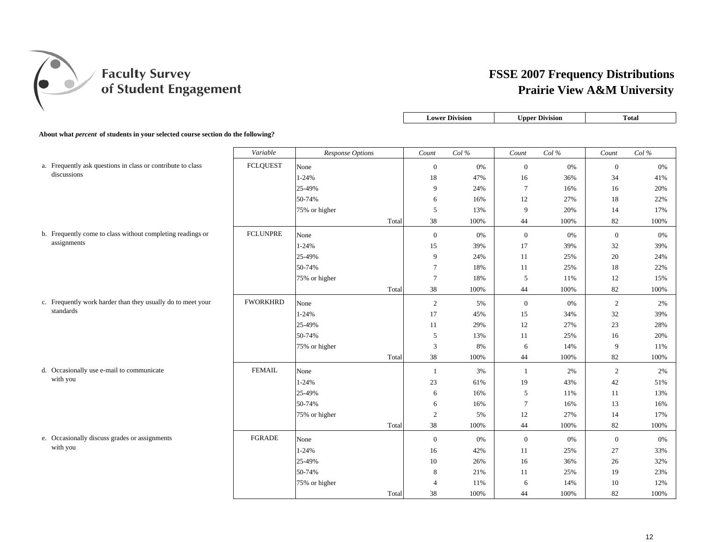

|                                                                                         |                 |                  |       | <b>Lower Division</b> |       | <b>Upper Division</b> |         | <b>Total</b>     |      |
|-----------------------------------------------------------------------------------------|-----------------|------------------|-------|-----------------------|-------|-----------------------|---------|------------------|------|
| About what <i>percent</i> of students in your selected course section do the following? |                 |                  |       |                       |       |                       |         |                  |      |
|                                                                                         |                 |                  |       |                       |       |                       |         |                  |      |
|                                                                                         | Variable        | Response Options |       | Count                 | Col%  | Count                 | $Col\%$ | Count            | Col% |
| a. Frequently ask questions in class or contribute to class                             | <b>FCLQUEST</b> | None             |       | $\mathbf{0}$          | 0%    | $\boldsymbol{0}$      | 0%      | $\boldsymbol{0}$ | 0%   |
| discussions                                                                             |                 | $1 - 24%$        |       | 18                    | 47%   | 16                    | 36%     | 34               | 41%  |
|                                                                                         |                 | 25-49%           |       | 9                     | 24%   | $\tau$                | 16%     | 16               | 20%  |
|                                                                                         |                 | 50-74%           |       | 6                     | 16%   | 12                    | 27%     | 18               | 22%  |
|                                                                                         |                 | 75% or higher    |       | 5                     | 13%   | 9                     | 20%     | 14               | 17%  |
|                                                                                         |                 |                  | Total | 38                    | 100%  | 44                    | 100%    | 82               | 100% |
| b. Frequently come to class without completing readings or                              | <b>FCLUNPRE</b> | None             |       | $\boldsymbol{0}$      | $0\%$ | $\mathbf{0}$          | $0\%$   | $\boldsymbol{0}$ | 0%   |
| assignments                                                                             |                 | $1 - 24%$        |       | 15                    | 39%   | 17                    | 39%     | 32               | 39%  |
|                                                                                         |                 | 25-49%           |       | 9                     | 24%   | 11                    | 25%     | 20               | 24%  |
|                                                                                         |                 | 50-74%           |       | 7                     | 18%   | 11                    | 25%     | 18               | 22%  |
|                                                                                         |                 | 75% or higher    |       | $\overline{7}$        | 18%   | 5                     | 11%     | 12               | 15%  |
|                                                                                         |                 |                  | Total | 38                    | 100%  | 44                    | 100%    | 82               | 100% |
| c. Frequently work harder than they usually do to meet your                             | <b>FWORKHRD</b> | None             |       | $\overline{2}$        | 5%    | $\mathbf{0}$          | 0%      | 2                | 2%   |
| standards                                                                               |                 | $1 - 24%$        |       | 17                    | 45%   | 15                    | 34%     | 32               | 39%  |
|                                                                                         |                 | 25-49%           |       | 11                    | 29%   | 12                    | 27%     | 23               | 28%  |
|                                                                                         |                 | 50-74%           |       | 5                     | 13%   | 11                    | 25%     | 16               | 20%  |
|                                                                                         |                 | 75% or higher    |       | $\mathfrak{Z}$        | 8%    | 6                     | 14%     | 9                | 11%  |
|                                                                                         |                 |                  | Total | 38                    | 100%  | 44                    | 100%    | 82               | 100% |
| d. Occasionally use e-mail to communicate                                               | <b>FEMAIL</b>   | None             |       | -1                    | 3%    | 1                     | 2%      | $\overline{2}$   | 2%   |
| with you                                                                                |                 | $1 - 24%$        |       | 23                    | 61%   | 19                    | 43%     | 42               | 51%  |
|                                                                                         |                 | 25-49%           |       | 6                     | 16%   | 5                     | 11%     | 11               | 13%  |
|                                                                                         |                 | 50-74%           |       | 6                     | 16%   | $\tau$                | 16%     | 13               | 16%  |
|                                                                                         |                 | 75% or higher    |       | $\overline{2}$        | 5%    | 12                    | 27%     | 14               | 17%  |
|                                                                                         |                 |                  | Total | 38                    | 100%  | 44                    | 100%    | 82               | 100% |
| e. Occasionally discuss grades or assignments                                           | <b>FGRADE</b>   | None             |       | $\boldsymbol{0}$      | 0%    | $\mathbf{0}$          | 0%      | $\boldsymbol{0}$ | 0%   |
| with you                                                                                |                 | $1 - 24%$        |       | 16                    | 42%   | 11                    | 25%     | 27               | 33%  |
|                                                                                         |                 | 25-49%           |       | 10                    | 26%   | 16                    | 36%     | 26               | 32%  |
|                                                                                         |                 | 50-74%           |       | 8                     | 21%   | 11                    | 25%     | 19               | 23%  |
|                                                                                         |                 | 75% or higher    |       | $\overline{4}$        | 11%   | 6                     | 14%     | 10               | 12%  |
|                                                                                         |                 |                  | Total | 38                    | 100%  | 44                    | 100%    | 82               | 100% |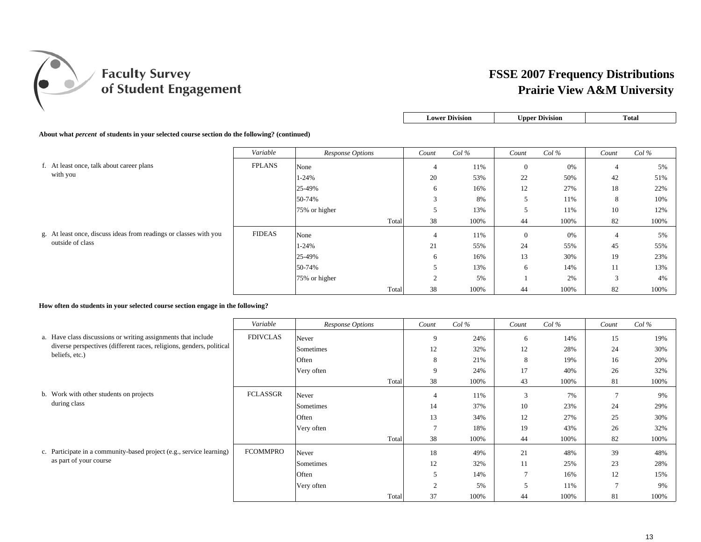

| <b>Lower Division</b> | <b>Upper Division</b> | `ota. |
|-----------------------|-----------------------|-------|
|                       |                       |       |

#### **About what** *percent* **of students in your selected course section do the following? (continued)**

|                                                                        | Variable      | Response Options | Count       | $Col\%$ | Count          | $Col\%$ | Count                    | $Col\%$ |
|------------------------------------------------------------------------|---------------|------------------|-------------|---------|----------------|---------|--------------------------|---------|
| f. At least once, talk about career plans                              | <b>FPLANS</b> | None             | 4           | 11%     | $\overline{0}$ | 0%      | $\overline{4}$           | 5%      |
| with you                                                               |               | 1-24%            | 20          | 53%     | 22             | 50%     | 42                       | 51%     |
|                                                                        |               | 25-49%           | 6           | 16%     | 12             | 27%     | 18                       | 22%     |
|                                                                        |               | 50-74%           | 3           | 8%      |                | 11%     | 8                        | 10%     |
|                                                                        |               | 75% or higher    | C           | 13%     |                | 11%     | 10                       | 12%     |
|                                                                        |               | Total            | 38          | 100%    | 44             | 100%    | 82                       | 100%    |
| least once, discuss ideas from readings or classes with you<br>g. At l | <b>FIDEAS</b> | None             | 4           | 11%     | $\mathbf{0}$   | 0%      | $\overline{4}$           | 5%      |
| outside of class                                                       |               | 1-24%            | 21          | 55%     | 24             | 55%     | 45                       | 55%     |
|                                                                        |               | 25-49%           | 6           | 16%     | 13             | 30%     | 19                       | 23%     |
|                                                                        |               | 50-74%           | 5           | 13%     | 6              | 14%     | 11                       | 13%     |
|                                                                        |               | 75% or higher    | $\sim$<br>↵ | 5%      |                | 2%      | $\sim$<br>$\mathfrak{I}$ | 4%      |
|                                                                        |               | Total            | 38          | 100%    | 44             | 100%    | 82                       | 100%    |

#### **How often do students in your selected course section engage in the following?**

|                                                                      | Variable        | <b>Response Options</b> | Count         | $Col\%$ | Count          | $Col\%$ | Count           | $Col\%$ |
|----------------------------------------------------------------------|-----------------|-------------------------|---------------|---------|----------------|---------|-----------------|---------|
| a. Have class discussions or writing assignments that include        | <b>FDIVCLAS</b> | Never                   | 9             | 24%     | 6              | 14%     | 15              | 19%     |
| diverse perspectives (different races, religions, genders, political |                 | Sometimes               | 12            | 32%     | 12             | 28%     | 24              | 30%     |
| beliefs, etc.)                                                       |                 | Often                   | 8             | 21%     | 8              | 19%     | 16              | 20%     |
|                                                                      |                 | Very often              | 9             | 24%     | 17             | 40%     | 26              | 32%     |
|                                                                      |                 | Total                   | 38            | 100%    | 43             | 100%    | 81              | 100%    |
| b. Work with other students on projects                              | <b>FCLASSGR</b> | Never                   | 4             | 11%     | 3              | 7%      | $\mathcal{I}$   | 9%      |
| during class                                                         |                 | Sometimes               | 14            | 37%     | 10             | 23%     | 24              | 29%     |
|                                                                      |                 | Often                   | 13            | 34%     | 12             | 27%     | 25              | 30%     |
|                                                                      |                 | Very often              | $\mathcal{I}$ | 18%     | 19             | 43%     | 26              | 32%     |
|                                                                      |                 | Total                   | 38            | 100%    | 44             | 100%    | 82              | 100%    |
| c. Participate in a community-based project (e.g., service learning) | <b>FCOMMPRO</b> | Never                   | 18            | 49%     | 21             | 48%     | 39              | 48%     |
| as part of your course                                               |                 | Sometimes               | 12            | 32%     | 11             | 25%     | 23              | 28%     |
|                                                                      |                 | Often                   | 5             | 14%     | $\overline{a}$ | 16%     | 12              | 15%     |
|                                                                      |                 | Very often              | ◠             | 5%      |                | 11%     | $\mathbf{\tau}$ | 9%      |
|                                                                      |                 | Total                   | 37            | 100%    | 44             | 100%    | 81              | 100%    |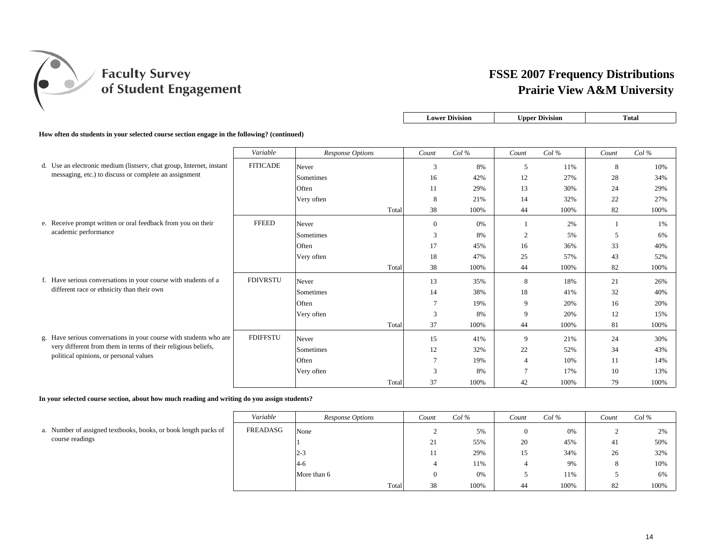

| <b>Lower Division</b> | <b>Upper Division</b> | `otal |
|-----------------------|-----------------------|-------|
|                       |                       |       |

**How often do students in your selected course section engage in the following? (continued)**

|                                                                      | Variable        | Response Options |       | Count           | $Col\%$ | Count          | $Col\%$ | Count | $Col\%$ |
|----------------------------------------------------------------------|-----------------|------------------|-------|-----------------|---------|----------------|---------|-------|---------|
| d. Use an electronic medium (listserv, chat group, Internet, instant | <b>FITICADE</b> | Never            |       | 3               | 8%      | 5              | 11%     | 8     | 10%     |
| messaging, etc.) to discuss or complete an assignment                |                 | Sometimes        |       | 16              | 42%     | 12             | 27%     | 28    | 34%     |
|                                                                      |                 | Often            |       | 11              | 29%     | 13             | 30%     | 24    | 29%     |
|                                                                      |                 | Very often       |       | 8               | 21%     | 14             | 32%     | 22    | 27%     |
|                                                                      |                 |                  | Total | 38              | 100%    | 44             | 100%    | 82    | 100%    |
| e. Receive prompt written or oral feedback from you on their         | <b>FFEED</b>    | Never            |       | $\overline{0}$  | 0%      |                | 2%      |       | 1%      |
| academic performance                                                 |                 | Sometimes        |       | 3               | 8%      | $\overline{2}$ | 5%      | 5     | 6%      |
|                                                                      |                 | Often            |       | 17              | 45%     | 16             | 36%     | 33    | 40%     |
|                                                                      |                 | Very often       |       | 18              | 47%     | 25             | 57%     | 43    | 52%     |
|                                                                      |                 |                  | Total | 38              | 100%    | 44             | 100%    | 82    | 100%    |
| f. Have serious conversations in your course with students of a      | <b>FDIVRSTU</b> | Never            |       | 13              | 35%     | 8              | 18%     | 21    | 26%     |
| different race or ethnicity than their own                           |                 | Sometimes        |       | 14              | 38%     | 18             | 41%     | 32    | 40%     |
|                                                                      |                 | Often            |       | $\overline{7}$  | 19%     | 9              | 20%     | 16    | 20%     |
|                                                                      |                 | Very often       |       | 3               | 8%      | 9              | 20%     | 12    | 15%     |
|                                                                      |                 |                  | Total | 37              | 100%    | 44             | 100%    | 81    | 100%    |
| g. Have serious conversations in your course with students who are   | <b>FDIFFSTU</b> | Never            |       | 15              | 41%     | 9              | 21%     | 24    | 30%     |
| very different from them in terms of their religious beliefs,        |                 | Sometimes        |       | 12              | 32%     | 22             | 52%     | 34    | 43%     |
| political opinions, or personal values                               |                 | Often            |       | $7\phantom{.0}$ | 19%     | $\overline{4}$ | 10%     | 11    | 14%     |
|                                                                      |                 | Very often       |       | 3               | 8%      |                | 17%     | 10    | 13%     |
|                                                                      |                 |                  | Total | 37              | 100%    | 42             | 100%    | 79    | 100%    |

**In your selected course section, about how much reading and writing do you assign students?**

|                                                                 | Variable | Response Options | Count | $Col \mathscr{C}$ | Count | $Col\%$ | Count | $Col\%$ |
|-----------------------------------------------------------------|----------|------------------|-------|-------------------|-------|---------|-------|---------|
| a. Number of assigned textbooks, books, or book length packs of | FREADASG | None             | ∸     | 5%                |       | 0%      |       | 2%      |
| course readings                                                 |          |                  | 21    | 55%               | 20    | 45%     | 41    | 50%     |
|                                                                 |          | $2 - 3$          | 11    | 29%               | 15    | 34%     | 26    | 32%     |
|                                                                 |          | $-4-6$           |       | 11%               |       | 9%      | 8     | 10%     |
|                                                                 |          | More than 6      | v     | 0%                |       | 11%     |       | 6%      |
|                                                                 |          | Total            | 38    | 100%              | 44    | 100%    | 82    | 100%    |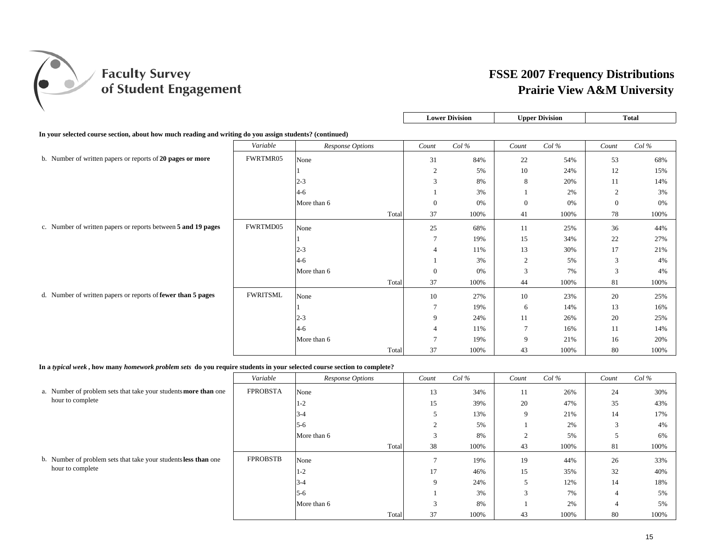

|                                                                                                         |                 |                  |       |                  | <b>Lower Division</b> |                | <b>Upper Division</b> |              | <b>Total</b> |
|---------------------------------------------------------------------------------------------------------|-----------------|------------------|-------|------------------|-----------------------|----------------|-----------------------|--------------|--------------|
| In your selected course section, about how much reading and writing do you assign students? (continued) |                 |                  |       |                  |                       |                |                       |              |              |
|                                                                                                         | Variable        | Response Options |       | Count            | Col%                  | Count          | Col%                  | Count        | $Col\%$      |
| b. Number of written papers or reports of 20 pages or more                                              | FWRTMR05        | None             |       | 31               | 84%                   | 22             | 54%                   | 53           | 68%          |
|                                                                                                         |                 |                  |       | $\overline{2}$   | 5%                    | 10             | 24%                   | 12           | 15%          |
|                                                                                                         |                 | $2 - 3$          |       | 3                | 8%                    | 8              | 20%                   | 11           | 14%          |
|                                                                                                         |                 | $4-6$            |       |                  | 3%                    |                | 2%                    | 2            | 3%           |
|                                                                                                         |                 | More than 6      |       | $\bf{0}$         | 0%                    | $\overline{0}$ | 0%                    | $\mathbf{0}$ | 0%           |
|                                                                                                         |                 |                  | Total | 37               | 100%                  | 41             | 100%                  | 78           | 100%         |
| c. Number of written papers or reports between 5 and 19 pages                                           | FWRTMD05        | None             |       | 25               | 68%                   | 11             | 25%                   | 36           | 44%          |
|                                                                                                         |                 |                  |       | $\overline{7}$   | 19%                   | 15             | 34%                   | 22           | 27%          |
|                                                                                                         |                 | $2 - 3$          |       | $\overline{4}$   | 11%                   | 13             | 30%                   | 17           | 21%          |
|                                                                                                         |                 | $4-6$            |       |                  | 3%                    | 2              | 5%                    | 3            | 4%           |
|                                                                                                         |                 | More than 6      |       | $\boldsymbol{0}$ | 0%                    | 3              | 7%                    | 3            | 4%           |
|                                                                                                         |                 |                  | Total | 37               | 100%                  | 44             | 100%                  | 81           | 100%         |
| d. Number of written papers or reports of fewer than 5 pages                                            | <b>FWRITSML</b> | None             |       | 10               | 27%                   | 10             | 23%                   | 20           | 25%          |
|                                                                                                         |                 |                  |       | $\tau$           | 19%                   | 6              | 14%                   | 13           | 16%          |
|                                                                                                         |                 | $2 - 3$          |       | 9                | 24%                   | 11             | 26%                   | 20           | 25%          |
|                                                                                                         |                 | $4 - 6$          |       |                  | 11%                   | 7              | 16%                   | 11           | 14%          |
|                                                                                                         |                 | More than 6      |       |                  | 19%                   | 9              | 21%                   | 16           | 20%          |
|                                                                                                         |                 |                  | Total | 37               | 100%                  | 43             | 100%                  | 80           | 100%         |

**In a** *typical week* **, how many** *homework problem sets* **do you require students in your selected course section to complete?**

|                                                                        | Variable        | Response Options | Count         | $Col\%$ | Count          | $Col\%$ | Count  | $Col\%$ |
|------------------------------------------------------------------------|-----------------|------------------|---------------|---------|----------------|---------|--------|---------|
| a. Number of problem sets that take your students <b>more than</b> one | <b>FPROBSTA</b> | None             | 13            | 34%     | 11             | 26%     | 24     | 30%     |
| hour to complete                                                       |                 | 1-2              | 15            | 39%     | 20             | 47%     | 35     | 43%     |
|                                                                        |                 | $3 - 4$          | $\mathcal{D}$ | 13%     | 9              | 21%     | 14     | 17%     |
|                                                                        |                 | $5 - 6$          | $\gamma$      | 5%      |                | 2%      | $\sim$ | 4%      |
|                                                                        |                 | More than 6      | $\sim$<br>Ć   | 8%      | $\overline{2}$ | 5%      |        | 6%      |
|                                                                        |                 | Total            | 38            | 100%    | 43             | 100%    | 81     | 100%    |
| b. Number of problem sets that take your studentsless than one         | <b>FPROBSTB</b> | None             | $\mathbf{r}$  | 19%     | 19             | 44%     | 26     | 33%     |
| hour to complete                                                       |                 | 1-2              | 17            | 46%     | 15             | 35%     | 32     | 40%     |
|                                                                        |                 | $3 - 4$          | 9             | 24%     | 5              | 12%     | 14     | 18%     |
|                                                                        |                 | $5 - 6$          |               | 3%      | 3              | 7%      |        | 5%      |
|                                                                        |                 | More than 6      | 3             | 8%      |                | 2%      |        | 5%      |
|                                                                        |                 | Total            | 37            | 100%    | 43             | 100%    | 80     | 100%    |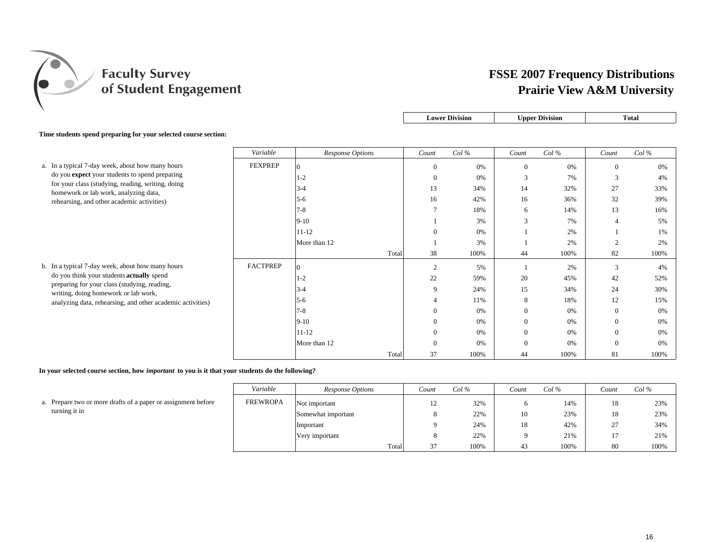

|                                                                                            |                 |                  |                | <b>Lower Division</b> |                  | <b>Upper Division</b> |                | <b>Total</b> |
|--------------------------------------------------------------------------------------------|-----------------|------------------|----------------|-----------------------|------------------|-----------------------|----------------|--------------|
| Time students spend preparing for your selected course section:                            |                 |                  |                |                       |                  |                       |                |              |
|                                                                                            | Variable        | Response Options | Count          | $Col\%$               | Count            | Col%                  | Count          | Col%         |
| a. In a typical 7-day week, about how many hours                                           | <b>FEXPREP</b>  | $\Omega$         | $\mathbf{0}$   | 0%                    | $\overline{0}$   | 0%                    | $\overline{0}$ | 0%           |
| do you expect your students to spend preparing                                             |                 | 1-2              | $\theta$       | 0%                    | 3                | 7%                    | 3              | 4%           |
| for your class (studying, reading, writing, doing<br>homework or lab work, analyzing data, |                 | $3 - 4$          | 13             | 34%                   | 14               | 32%                   | 27             | 33%          |
| rehearsing, and other academic activities)                                                 |                 | $5-6$            | 16             | 42%                   | 16               | 36%                   | 32             | 39%          |
|                                                                                            |                 | $7 - 8$          | $\overline{7}$ | 18%                   | 6                | 14%                   | 13             | 16%          |
|                                                                                            |                 | $9 - 10$         |                | 3%                    | 3                | 7%                    | $\overline{4}$ | 5%           |
|                                                                                            |                 | $11 - 12$        | $\Omega$       | 0%                    |                  | 2%                    |                | 1%           |
|                                                                                            |                 | More than 12     |                | 3%                    |                  | 2%                    | $\overline{2}$ | 2%           |
|                                                                                            |                 | Total            | 38             | 100%                  | 44               | 100%                  | 82             | 100%         |
| b. In a typical 7-day week, about how many hours                                           | <b>FACTPREP</b> | $\Omega$         | $\overline{2}$ | 5%                    |                  | 2%                    | 3              | 4%           |
| do you think your students actually spend                                                  |                 | $1-2$            | 22             | 59%                   | 20               | 45%                   | 42             | 52%          |
| preparing for your class (studying, reading,<br>writing, doing homework or lab work,       |                 | $3-4$            | 9              | 24%                   | 15               | 34%                   | 24             | 30%          |
| analyzing data, rehearsing, and other academic activities)                                 |                 | $5-6$            |                | 11%                   | 8                | 18%                   | 12             | 15%          |
|                                                                                            |                 | $7 - 8$          | $\Omega$       | 0%                    | $\overline{0}$   | 0%                    | $\mathbf{0}$   | 0%           |
|                                                                                            |                 | $9-10$           | $\overline{0}$ | 0%                    | $\overline{0}$   | 0%                    | $\bf{0}$       | 0%           |
|                                                                                            |                 | $11 - 12$        | $\Omega$       | 0%                    | $\boldsymbol{0}$ | 0%                    | $\bf{0}$       | 0%           |
|                                                                                            |                 | More than 12     | $\Omega$       | 0%                    | $\overline{0}$   | 0%                    | $\overline{0}$ | 0%           |
|                                                                                            |                 | Total            | 37             | 100%                  | 44               | 100%                  | 81             | 100%         |

**In your selected course section, how** *important* **to you is it that your students do the following?**

|                                                              | Variable        | Response Options   | Count | Col % | Count | Col % | Count                | Col % |
|--------------------------------------------------------------|-----------------|--------------------|-------|-------|-------|-------|----------------------|-------|
| . Prepare two or more drafts of a paper or assignment before | <b>FREWROPA</b> | Not important      | 12    | 32%   |       | 14%   | 18                   | 23%   |
| turning it in                                                |                 | Somewhat important |       | 22%   | 10    | 23%   | 18                   | 23%   |
|                                                              |                 | Important          |       | 24%   | 18    | 42%   | $\sim$<br>$\angle$ / | 34%   |
|                                                              |                 | Very important     |       | 22%   |       | 21%   |                      | 21%   |
|                                                              |                 | Total              | 37    | 100%  | 43    | 100%  | 80                   | 100%  |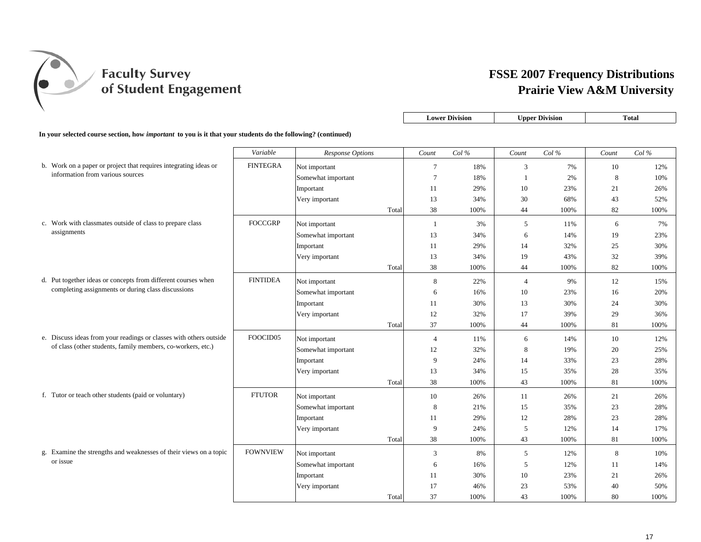

| <b>Division</b><br><b>Inner</b><br>Lower<br>otal<br>er Division |  |  |
|-----------------------------------------------------------------|--|--|

**In your selected course section, how** *important* **to you is it that your students do the following? (continued)**

|                                                                    | Variable        | Response Options   |       | Count          | Col% | Count          | Col% | Count | Col% |
|--------------------------------------------------------------------|-----------------|--------------------|-------|----------------|------|----------------|------|-------|------|
| b. Work on a paper or project that requires integrating ideas or   | <b>FINTEGRA</b> | Not important      |       | $\tau$         | 18%  | 3              | 7%   | 10    | 12%  |
| information from various sources                                   |                 | Somewhat important |       | $\overline{7}$ | 18%  | $\mathbf{1}$   | 2%   | 8     | 10%  |
|                                                                    |                 | Important          |       | 11             | 29%  | 10             | 23%  | 21    | 26%  |
|                                                                    |                 | Very important     |       | 13             | 34%  | 30             | 68%  | 43    | 52%  |
|                                                                    |                 |                    | Total | 38             | 100% | 44             | 100% | 82    | 100% |
| c. Work with classmates outside of class to prepare class          | <b>FOCCGRP</b>  | Not important      |       | $\mathbf{1}$   | 3%   | 5              | 11%  | 6     | 7%   |
| assignments                                                        |                 | Somewhat important |       | 13             | 34%  | 6              | 14%  | 19    | 23%  |
|                                                                    |                 | Important          |       | 11             | 29%  | 14             | 32%  | 25    | 30%  |
|                                                                    |                 | Very important     |       | 13             | 34%  | 19             | 43%  | 32    | 39%  |
|                                                                    |                 |                    | Total | 38             | 100% | 44             | 100% | 82    | 100% |
| d. Put together ideas or concepts from different courses when      | <b>FINTIDEA</b> | Not important      |       | 8              | 22%  | $\overline{4}$ | 9%   | 12    | 15%  |
| completing assignments or during class discussions                 |                 | Somewhat important |       | 6              | 16%  | 10             | 23%  | 16    | 20%  |
|                                                                    |                 | Important          |       | 11             | 30%  | 13             | 30%  | 24    | 30%  |
|                                                                    |                 | Very important     |       | 12             | 32%  | 17             | 39%  | 29    | 36%  |
|                                                                    |                 |                    | Total | 37             | 100% | 44             | 100% | 81    | 100% |
| e. Discuss ideas from your readings or classes with others outside | FOOCID05        | Not important      |       | $\overline{4}$ | 11%  | 6              | 14%  | 10    | 12%  |
| of class (other students, family members, co-workers, etc.)        |                 | Somewhat important |       | 12             | 32%  | 8              | 19%  | 20    | 25%  |
|                                                                    |                 | Important          |       | 9              | 24%  | 14             | 33%  | 23    | 28%  |
|                                                                    |                 | Very important     |       | 13             | 34%  | 15             | 35%  | 28    | 35%  |
|                                                                    |                 |                    | Total | 38             | 100% | 43             | 100% | 81    | 100% |
| f. Tutor or teach other students (paid or voluntary)               | <b>FTUTOR</b>   | Not important      |       | 10             | 26%  | 11             | 26%  | 21    | 26%  |
|                                                                    |                 | Somewhat important |       | 8              | 21%  | 15             | 35%  | 23    | 28%  |
|                                                                    |                 | Important          |       | 11             | 29%  | 12             | 28%  | 23    | 28%  |
|                                                                    |                 | Very important     |       | 9              | 24%  | 5              | 12%  | 14    | 17%  |
|                                                                    |                 |                    | Total | 38             | 100% | 43             | 100% | 81    | 100% |
| g. Examine the strengths and weaknesses of their views on a topic  | <b>FOWNVIEW</b> | Not important      |       | 3              | 8%   | 5              | 12%  | 8     | 10%  |
| or issue                                                           |                 | Somewhat important |       | 6              | 16%  | 5              | 12%  | 11    | 14%  |
|                                                                    |                 | Important          |       | 11             | 30%  | 10             | 23%  | 21    | 26%  |
|                                                                    |                 | Very important     |       | 17             | 46%  | 23             | 53%  | 40    | 50%  |
|                                                                    |                 |                    | Total | 37             | 100% | 43             | 100% | 80    | 100% |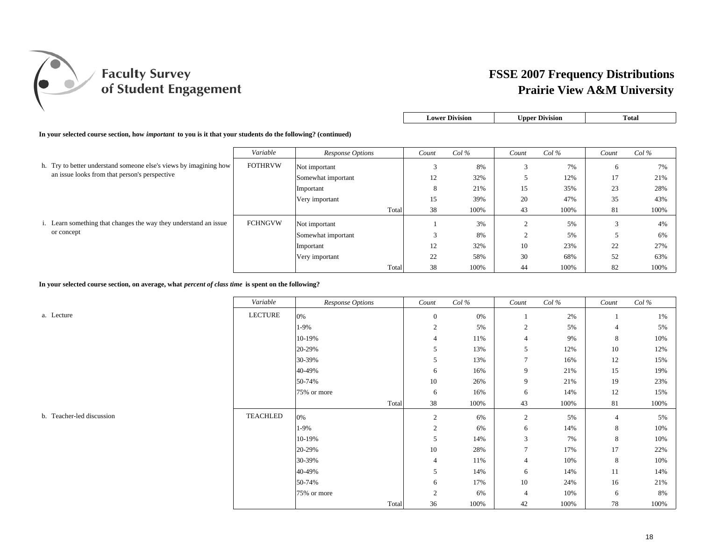

| <b>Lower Division</b> | <b>Upper Division</b> | Total |
|-----------------------|-----------------------|-------|
|-----------------------|-----------------------|-------|

**In your selected course section, how** *important* **to you is it that your students do the following? (continued)**

|                                                                   | Variable       | Response Options   | Count       | $Col\%$ | Count       | Col% | Count | $Col\%$ |
|-------------------------------------------------------------------|----------------|--------------------|-------------|---------|-------------|------|-------|---------|
| h. Try to better understand someone else's views by imagining how | <b>FOTHRVW</b> | Not important      | $\sim$<br>P | 8%      | $\sim$      | 7%   | 6     | 7%      |
| an issue looks from that person's perspective                     |                | Somewhat important | 12          | 32%     |             | 12%  | 17    | 21%     |
|                                                                   |                | Important          | 8           | 21%     | 15          | 35%  | 23    | 28%     |
|                                                                   |                | Very important     | 15          | 39%     | 20          | 47%  | 35    | 43%     |
|                                                                   |                | Total              | 38          | 100%    | 43          | 100% | 81    | 100%    |
| i. Learn something that changes the way they understand an issue  | <b>FCHNGVW</b> | Not important      |             | 3%      | $\sim$<br>∠ | 5%   |       | 4%      |
| or concept                                                        |                | Somewhat important | $\sim$      | 8%      | $\sim$      | 5%   |       | 6%      |
|                                                                   |                | Important          | 12          | 32%     | 10          | 23%  | 22    | 27%     |
|                                                                   |                | Very important     | 22          | 58%     | 30          | 68%  | 52    | 63%     |
|                                                                   |                | Total              | 38          | 100%    | 44          | 100% | 82    | 100%    |

**In your selected course section, on average, what** *percent of class time* **is spent on the following?**

*Variable Response Options Count Col % Count Col % Count Col %* a. Lecture LECTURE 0% 0 0% 1 2% 1 1% $1\%$  $1-9\%$  2 5% 2 5% 3 5% 4 5%  $10-19\%$  8 10% and the 11% and the 11% and the 10% and the 10% and the 10% and the 10% and the 10% and the 10% and the 10% and the 10% and the 10% and the 10% and the 10% and the 10% and the 10% and the 10% and the 10% a 20-29% 5 13% 5 12% 10 12%12% 30-39% 5 13% 7 16% 12 15%40-49% 6 16% 9 21% 15 19%50-74% 10 26% 9 21% 19 23%23% 75% or more 6 16% 6 14% 12 15%Total 38 100% 43 100% 81 100%b. Teacher-led discussion TEACHLED  $\mathsf{D} \quad | \quad 0\% \quad | \quad 2 \quad 6\% \quad | \quad 2 \quad 5\% \quad | \quad 4 \quad 5\%$  $1-9\%$  2 6% 6 14% 8 10% 10%  $10-19\%$  5 14% 3 7% 8 10% 20-29% 10 28% 7 17% 17 22%30-39% 4 11% 4 10% 8 10%10% 40-49% 5 14% 6 14% 11 14%50-74% 6 17% 10 24% 16 21%75% or more  $\begin{array}{|c|c|c|c|c|c|c|c|c|} \hline \end{array}$  2 6% 4 10% 6 6 8% Total 36 100% 42 100% 78 100%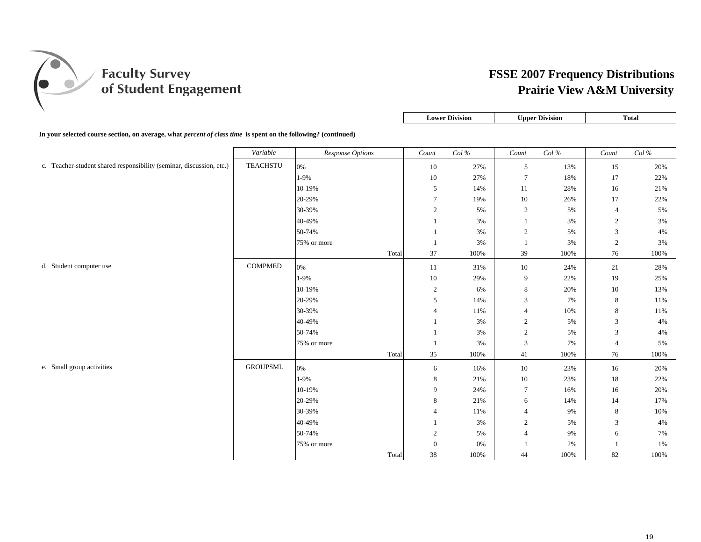

|                                                                                                                |                 |                  |       |                | <b>Lower Division</b> |                | <b>Upper Division</b> |                | <b>Total</b> |
|----------------------------------------------------------------------------------------------------------------|-----------------|------------------|-------|----------------|-----------------------|----------------|-----------------------|----------------|--------------|
| In your selected course section, on average, what percent of class time is spent on the following? (continued) |                 |                  |       |                |                       |                |                       |                |              |
|                                                                                                                | Variable        | Response Options |       | Count          | Col%                  | Count          | Col%                  | Count          | Col%         |
| c. Teacher-student shared responsibility (seminar, discussion, etc.)                                           | <b>TEACHSTU</b> | 0%               |       | 10             | 27%                   | 5              | 13%                   | 15             | 20%          |
|                                                                                                                |                 | 1-9%             |       | 10             | 27%                   | $\overline{7}$ | 18%                   | 17             | 22%          |
|                                                                                                                |                 | 10-19%           |       | 5              | 14%                   | 11             | 28%                   | 16             | 21%          |
|                                                                                                                |                 | 20-29%           |       | $\tau$         | 19%                   | 10             | 26%                   | 17             | 22%          |
|                                                                                                                |                 | 30-39%           |       | 2              | 5%                    | 2              | 5%                    | $\overline{4}$ | 5%           |
|                                                                                                                |                 | 40-49%           |       | $\mathbf{1}$   | 3%                    | $\mathbf{1}$   | 3%                    | 2              | 3%           |
|                                                                                                                |                 | 50-74%           |       | -1             | 3%                    | 2              | 5%                    | 3              | 4%           |
|                                                                                                                |                 | 75% or more      |       | $\mathbf{1}$   | 3%                    | $\mathbf{1}$   | 3%                    | 2              | 3%           |
|                                                                                                                |                 |                  | Total | 37             | 100%                  | 39             | 100%                  | 76             | 100%         |
| d. Student computer use                                                                                        | <b>COMPMED</b>  | 0%               |       | 11             | 31%                   | 10             | 24%                   | 21             | 28%          |
|                                                                                                                |                 | 1-9%             |       | 10             | 29%                   | 9              | 22%                   | 19             | 25%          |
|                                                                                                                |                 | 10-19%           |       | $\overline{2}$ | 6%                    | 8              | 20%                   | $10\,$         | 13%          |
|                                                                                                                |                 | 20-29%           |       | 5              | 14%                   | 3              | 7%                    | 8              | 11%          |
|                                                                                                                |                 | 30-39%           |       | $\overline{4}$ | 11%                   | $\overline{4}$ | 10%                   | 8              | 11%          |
|                                                                                                                |                 | 40-49%           |       | -1             | 3%                    | 2              | 5%                    | 3              | 4%           |
|                                                                                                                |                 | 50-74%           |       | -1             | 3%                    | 2              | 5%                    | 3              | 4%           |
|                                                                                                                |                 | 75% or more      |       | $\mathbf{1}$   | 3%                    | 3              | 7%                    | $\overline{4}$ | 5%           |
|                                                                                                                |                 |                  | Total | 35             | 100%                  | 41             | 100%                  | 76             | 100%         |
| e. Small group activities                                                                                      | <b>GROUPSML</b> | 0%               |       | 6              | 16%                   | 10             | 23%                   | 16             | 20%          |
|                                                                                                                |                 | 1-9%             |       | 8              | 21%                   | 10             | 23%                   | 18             | 22%          |
|                                                                                                                |                 | 10-19%           |       | 9              | 24%                   | $\tau$         | 16%                   | 16             | 20%          |
|                                                                                                                |                 | 20-29%           |       | 8              | 21%                   | 6              | 14%                   | 14             | 17%          |
|                                                                                                                |                 | 30-39%           |       | $\overline{4}$ | 11%                   | $\overline{4}$ | 9%                    | 8              | 10%          |
|                                                                                                                |                 | 40-49%           |       |                | 3%                    | $\overline{2}$ | 5%                    | 3              | 4%           |
|                                                                                                                |                 | 50-74%           |       | 2              | 5%                    | $\overline{4}$ | 9%                    | 6              | 7%           |

75% or more 0 0% 1 2% 1 1%

Total 38 100% 44 100% 82 100%

 $1%$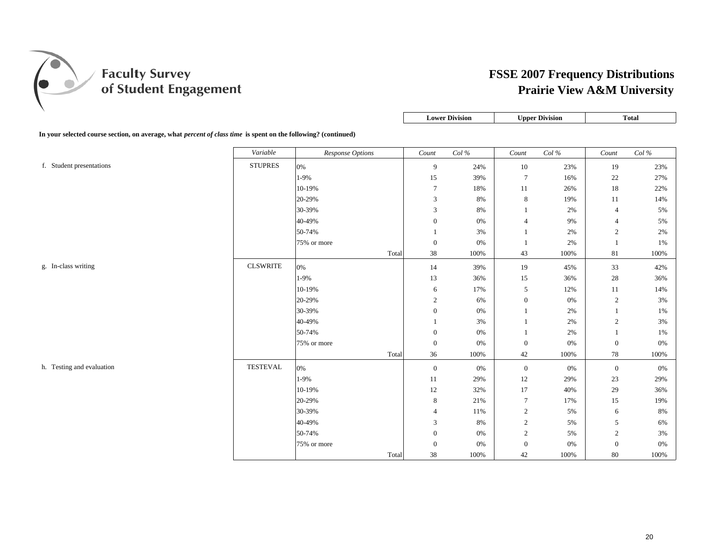

|                                                                                                                |                 |                         |       |                  | <b>Lower Division</b> |                | <b>Upper Division</b> |                | <b>Total</b> |
|----------------------------------------------------------------------------------------------------------------|-----------------|-------------------------|-------|------------------|-----------------------|----------------|-----------------------|----------------|--------------|
| In your selected course section, on average, what percent of class time is spent on the following? (continued) |                 |                         |       |                  |                       |                |                       |                |              |
|                                                                                                                | Variable        | <b>Response Options</b> |       | Count            | Col %                 | Count          | Col%                  | Count          | Col%         |
| f. Student presentations                                                                                       | <b>STUPRES</b>  | 0%                      |       | 9                | 24%                   | $10\,$         | 23%                   | 19             | 23%          |
|                                                                                                                |                 | $1-9%$                  |       | 15               | 39%                   | $\overline{7}$ | 16%                   | 22             | 27%          |
|                                                                                                                |                 | 10-19%                  |       | $\tau$           | 18%                   | 11             | 26%                   | $18\,$         | 22%          |
|                                                                                                                |                 | 20-29%                  |       | 3                | 8%                    | 8              | 19%                   | 11             | 14%          |
|                                                                                                                |                 | 30-39%                  |       | 3                | 8%                    |                | 2%                    | $\overline{4}$ | 5%           |
|                                                                                                                |                 | 40-49%                  |       | $\boldsymbol{0}$ | 0%                    | $\overline{4}$ | 9%                    | $\overline{4}$ | 5%           |
|                                                                                                                |                 | 50-74%                  |       | $\mathbf{1}$     | 3%                    |                | 2%                    | 2              | 2%           |
|                                                                                                                |                 | 75% or more             |       | $\boldsymbol{0}$ | 0%                    |                | 2%                    |                | 1%           |
|                                                                                                                |                 |                         | Total | 38               | 100%                  | 43             | 100%                  | 81             | 100%         |
| g. In-class writing                                                                                            | <b>CLSWRITE</b> | 0%                      |       | 14               | 39%                   | 19             | 45%                   | 33             | 42%          |
|                                                                                                                |                 | 1-9%                    |       | 13               | 36%                   | 15             | 36%                   | $28\,$         | 36%          |
|                                                                                                                |                 | 10-19%                  |       | 6                | 17%                   | 5              | 12%                   | $11\,$         | 14%          |
|                                                                                                                |                 | 20-29%                  |       | $\sqrt{2}$       | 6%                    | $\mathbf{0}$   | 0%                    | 2              | 3%           |
|                                                                                                                |                 | 30-39%                  |       | $\mathbf{0}$     | 0%                    |                | 2%                    |                | 1%           |
|                                                                                                                |                 | 40-49%                  |       | $\mathbf{1}$     | 3%                    |                | 2%                    | $\mathbf{2}$   | 3%           |
|                                                                                                                |                 | 50-74%                  |       | $\boldsymbol{0}$ | 0%                    |                | 2%                    |                | 1%           |
|                                                                                                                |                 | 75% or more             |       | $\boldsymbol{0}$ | 0%                    | $\mathbf{0}$   | 0%                    | $\mathbf{0}$   | 0%           |
|                                                                                                                |                 |                         | Total | 36               | 100%                  | 42             | 100%                  | 78             | 100%         |
| h. Testing and evaluation                                                                                      | <b>TESTEVAL</b> | 0%                      |       | $\boldsymbol{0}$ | 0%                    | $\mathbf{0}$   | 0%                    | $\mathbf{0}$   | 0%           |
|                                                                                                                |                 | 1-9%                    |       | 11               | 29%                   | 12             | 29%                   | 23             | 29%          |
|                                                                                                                |                 | 10-19%                  |       | 12               | 32%                   | 17             | 40%                   | 29             | 36%          |
|                                                                                                                |                 | 20-29%                  |       | 8                | 21%                   | $\overline{7}$ | 17%                   | 15             | 19%          |
|                                                                                                                |                 | 30-39%                  |       | $\overline{4}$   | 11%                   | $\overline{2}$ | 5%                    | 6              | 8%           |
|                                                                                                                |                 | 40-49%                  |       | 3                | 8%                    | 2              | 5%                    | 5              | 6%           |

50-74% 0 0% 2 5% 2 3%

Total 38 100% 42 100% 80 100%

75% or more 0 0% 0 0% 0 0%

 $0\%$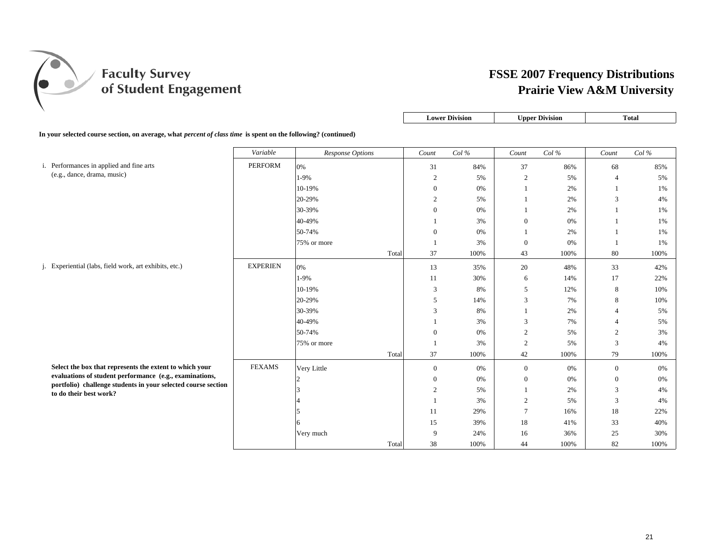

|                                                                                                                |                 |                  | <b>Lower Division</b> |         |                | <b>Upper Division</b> |       | Total   |  |  |  |  |
|----------------------------------------------------------------------------------------------------------------|-----------------|------------------|-----------------------|---------|----------------|-----------------------|-------|---------|--|--|--|--|
| In your selected course section, on average, what percent of class time is spent on the following? (continued) |                 |                  |                       |         |                |                       |       |         |  |  |  |  |
|                                                                                                                | Variable        | Response Options | Count                 | $Col\%$ | Count          | $Col\%$               | Count | $Col\%$ |  |  |  |  |
| i. Performances in applied and fine arts                                                                       | <b>PERFORM</b>  | 0%               | 31                    | 84%     | 37             | 86%                   | 68    | 85%     |  |  |  |  |
| (e.g., dance, drama, music)                                                                                    |                 | 1-9%             | $\overline{2}$        | 5%      | $\sim$         | 5%                    | 4     | 5%      |  |  |  |  |
|                                                                                                                |                 | 10-19%           | $\overline{0}$        | 0%      |                | 2%                    |       | 1%      |  |  |  |  |
|                                                                                                                |                 | 20-29%           | $\overline{2}$        | 5%      |                | 2%                    | 3     | 4%      |  |  |  |  |
|                                                                                                                |                 | 30-39%           | $\overline{0}$        | 0%      |                | 2%                    |       | 1%      |  |  |  |  |
|                                                                                                                |                 | 40-49%           |                       | 3%      | $\overline{0}$ | 0%                    |       | 1%      |  |  |  |  |
|                                                                                                                |                 | 50-74%           | $\overline{0}$        | 0%      |                | 2%                    |       | 1%      |  |  |  |  |
|                                                                                                                |                 | 75% or more      |                       | 3%      | $\overline{0}$ | 0%                    |       | 1%      |  |  |  |  |
|                                                                                                                |                 | Total            | 37                    | 100%    | 43             | 100%                  | 80    | 100%    |  |  |  |  |
| j. Experiential (labs, field work, art exhibits, etc.)                                                         | <b>EXPERIEN</b> | 0%               | 13                    | 35%     | 20             | 48%                   | 33    | 42%     |  |  |  |  |

Select the box that represents the extent to which evaluations of student performance (e.g., examina

portfolio) challenge students in your selected cour **to do their best work?**

| Total<br>37<br>100%<br>43<br>80<br>100%<br><b>EXPERIEN</b><br>20<br>13<br>33<br>0%<br>48%<br>35%<br>1-9%<br>17<br>11<br>30%<br>6<br>14%<br>5<br>8<br>10-19%<br>3<br>8%<br>12%<br>3<br>8<br>20-29%<br>5<br>7%<br>14% | 100%  |
|---------------------------------------------------------------------------------------------------------------------------------------------------------------------------------------------------------------------|-------|
|                                                                                                                                                                                                                     |       |
|                                                                                                                                                                                                                     | 42%   |
|                                                                                                                                                                                                                     | 22%   |
|                                                                                                                                                                                                                     | 10%   |
|                                                                                                                                                                                                                     | 10%   |
| 30-39%<br>3<br>8%<br>2%<br>$\overline{4}$                                                                                                                                                                           | 5%    |
| 3<br>40-49%<br>3%<br>7%<br>4                                                                                                                                                                                        | 5%    |
| 50-74%<br>$\mathbf{0}$<br>$\overline{c}$<br>$\overline{c}$<br>0%<br>5%                                                                                                                                              | 3%    |
| $\overline{2}$<br>3<br>3%<br>5%<br>75% or more                                                                                                                                                                      | $4\%$ |
| Total<br>37<br>79<br>100%<br>42<br>100%                                                                                                                                                                             | 100%  |
| <b>FEXAMS</b><br>your<br>Very Little<br>$\mathbf{0}$<br>$\mathbf{0}$<br>0%<br>$\mathbf{0}$<br>0%                                                                                                                    | $0\%$ |
| ations,<br>$\mathbf{0}$<br>$\mathbf{0}$<br>$\boldsymbol{0}$<br>0%<br>0%                                                                                                                                             | 0%    |
| rse section<br>3<br>$\overline{2}$<br>5%<br>2%                                                                                                                                                                      | $4\%$ |
| $\overline{c}$<br>3<br>3%<br>5%                                                                                                                                                                                     | 4%    |
| 18<br>7<br>11<br>16%<br>29%                                                                                                                                                                                         | 22%   |
| 15<br>18<br>33<br>39%<br>41%<br>6                                                                                                                                                                                   | 40%   |
| 9<br>16<br>25<br>Very much<br>24%<br>36%                                                                                                                                                                            | 30%   |
| Total<br>38<br>82<br>100%<br>44<br>100%                                                                                                                                                                             | 100%  |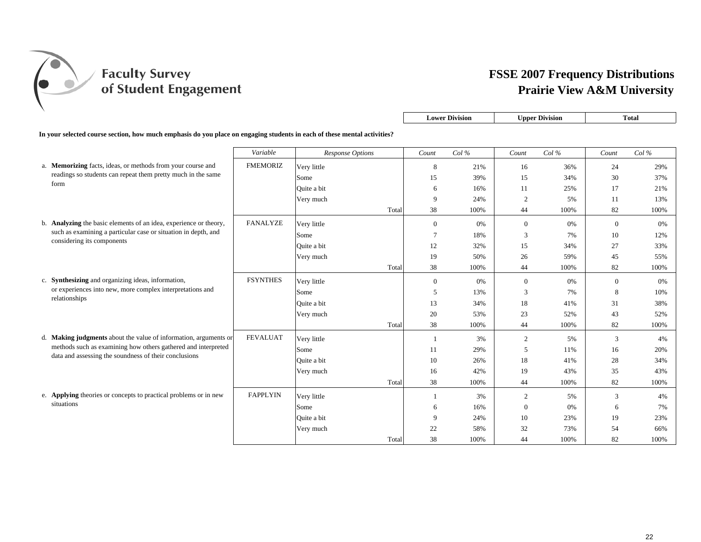

|                                                                                                                          |                 |                  |       |                | <b>Lower Division</b> |                | <b>Upper Division</b> |              | <b>Total</b> |
|--------------------------------------------------------------------------------------------------------------------------|-----------------|------------------|-------|----------------|-----------------------|----------------|-----------------------|--------------|--------------|
| In your selected course section, how much emphasis do you place on engaging students in each of these mental activities? |                 |                  |       |                |                       |                |                       |              |              |
|                                                                                                                          | Variable        | Response Options |       | $Count$        | Col%                  | Count          | Col%                  | Count        | Col%         |
| a. Memorizing facts, ideas, or methods from your course and                                                              | <b>FMEMORIZ</b> | Very little      |       | 8              | 21%                   | 16             | 36%                   | 24           | 29%          |
| readings so students can repeat them pretty much in the same                                                             |                 | Some             |       | 15             | 39%                   | 15             | 34%                   | 30           | 37%          |
| form                                                                                                                     |                 | Quite a bit      |       | 6              | 16%                   | 11             | 25%                   | 17           | 21%          |
|                                                                                                                          |                 | Very much        |       | 9              | 24%                   | $\overline{c}$ | 5%                    | 11           | 13%          |
|                                                                                                                          |                 |                  | Total | 38             | 100%                  | 44             | 100%                  | 82           | 100%         |
| b. Analyzing the basic elements of an idea, experience or theory,                                                        | <b>FANALYZE</b> | Very little      |       | $\mathbf{0}$   | 0%                    | $\mathbf{0}$   | 0%                    | $\mathbf{0}$ | 0%           |
| such as examining a particular case or situation in depth, and                                                           |                 | Some             |       | $\overline{7}$ | 18%                   | 3              | 7%                    | 10           | 12%          |
| considering its components                                                                                               |                 | Ouite a bit      |       | 12             | 32%                   | 15             | 34%                   | 27           | 33%          |
|                                                                                                                          |                 | Very much        |       | 19             | 50%                   | 26             | 59%                   | 45           | 55%          |
|                                                                                                                          |                 |                  | Total | 38             | 100%                  | 44             | 100%                  | 82           | 100%         |
| c. Synthesizing and organizing ideas, information,                                                                       | <b>FSYNTHES</b> | Very little      |       | $\mathbf{0}$   | 0%                    | $\mathbf{0}$   | 0%                    | $\mathbf{0}$ | 0%           |
| or experiences into new, more complex interpretations and                                                                |                 | Some             |       | 5              | 13%                   | 3              | 7%                    | 8            | 10%          |
| relationships                                                                                                            |                 | Ouite a bit      |       | 13             | 34%                   | 18             | 41%                   | 31           | 38%          |
|                                                                                                                          |                 | Very much        |       | 20             | 53%                   | 23             | 52%                   | 43           | 52%          |
|                                                                                                                          |                 |                  | Total | 38             | 100%                  | 44             | 100%                  | 82           | 100%         |
| d. Making judgments about the value of information, arguments or                                                         | <b>FEVALUAT</b> | Very little      |       | -1             | 3%                    | 2              | 5%                    | 3            | 4%           |
| methods such as examining how others gathered and interpreted                                                            |                 | Some             |       | 11             | 29%                   | 5              | 11%                   | 16           | 20%          |
| data and assessing the soundness of their conclusions                                                                    |                 | Ouite a bit      |       | 10             | 26%                   | 18             | 41%                   | 28           | 34%          |
|                                                                                                                          |                 | Very much        |       | 16             | 42%                   | 19             | 43%                   | 35           | 43%          |
|                                                                                                                          |                 |                  | Total | 38             | 100%                  | 44             | 100%                  | 82           | 100%         |
| e. Applying theories or concepts to practical problems or in new                                                         | <b>FAPPLYIN</b> | Very little      |       |                | 3%                    | $\overline{c}$ | 5%                    | 3            | 4%           |
| situations                                                                                                               |                 | Some             |       | 6              | 16%                   | $\mathbf{0}$   | 0%                    | 6            | 7%           |
|                                                                                                                          |                 | Ouite a bit      |       | 9              | 24%                   | 10             | 23%                   | 19           | 23%          |
|                                                                                                                          |                 | Very much        |       | 22             | 58%                   | 32             | 73%                   | 54           | 66%          |
|                                                                                                                          |                 |                  | Total | 38             | 100%                  | 44             | 100%                  | 82           | 100%         |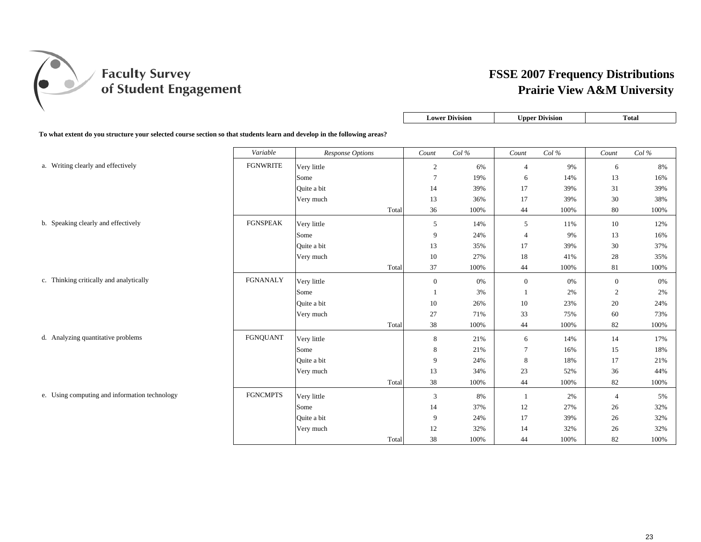

|--|

**To what extent do you structure your selected course section so that students learn and develop in the following areas?**

|                                               | Variable        | Response Options |       | Count          | Col% | Count          | Col% | Count            | Col% |
|-----------------------------------------------|-----------------|------------------|-------|----------------|------|----------------|------|------------------|------|
| a. Writing clearly and effectively            | <b>FGNWRITE</b> | Very little      |       | $\overline{c}$ | 6%   | $\overline{4}$ | 9%   | 6                | 8%   |
|                                               |                 | Some             |       | $\tau$         | 19%  | 6              | 14%  | 13               | 16%  |
|                                               |                 | Quite a bit      |       | 14             | 39%  | 17             | 39%  | 31               | 39%  |
|                                               |                 | Very much        |       | 13             | 36%  | 17             | 39%  | 30               | 38%  |
|                                               |                 |                  | Total | 36             | 100% | 44             | 100% | 80               | 100% |
| b. Speaking clearly and effectively           | <b>FGNSPEAK</b> | Very little      |       | $\mathfrak{S}$ | 14%  | 5              | 11%  | 10               | 12%  |
|                                               |                 | Some             |       | 9              | 24%  | $\overline{4}$ | 9%   | 13               | 16%  |
|                                               |                 | Ouite a bit      |       | 13             | 35%  | 17             | 39%  | 30               | 37%  |
|                                               |                 | Very much        |       | 10             | 27%  | 18             | 41%  | 28               | 35%  |
|                                               |                 |                  | Total | 37             | 100% | 44             | 100% | 81               | 100% |
| c. Thinking critically and analytically       | <b>FGNANALY</b> | Very little      |       | $\mathbf{0}$   | 0%   | $\mathbf{0}$   | 0%   | $\boldsymbol{0}$ | 0%   |
|                                               |                 | Some             |       |                | 3%   |                | 2%   | $\overline{2}$   | 2%   |
|                                               |                 | Quite a bit      |       | 10             | 26%  | 10             | 23%  | 20               | 24%  |
|                                               |                 | Very much        |       | 27             | 71%  | 33             | 75%  | 60               | 73%  |
|                                               |                 |                  | Total | 38             | 100% | 44             | 100% | 82               | 100% |
| d. Analyzing quantitative problems            | <b>FGNQUANT</b> | Very little      |       | 8              | 21%  | 6              | 14%  | 14               | 17%  |
|                                               |                 | Some             |       | 8              | 21%  | $\overline{7}$ | 16%  | 15               | 18%  |
|                                               |                 | Quite a bit      |       | 9              | 24%  | $\,8\,$        | 18%  | 17               | 21%  |
|                                               |                 | Very much        |       | 13             | 34%  | 23             | 52%  | 36               | 44%  |
|                                               |                 |                  | Total | $38\,$         | 100% | 44             | 100% | 82               | 100% |
| e. Using computing and information technology | <b>FGNCMPTS</b> | Very little      |       | 3              | 8%   | $\overline{1}$ | 2%   | $\overline{4}$   | 5%   |
|                                               |                 | Some             |       | 14             | 37%  | 12             | 27%  | 26               | 32%  |
|                                               |                 | Quite a bit      |       | 9              | 24%  | 17             | 39%  | 26               | 32%  |
|                                               |                 | Very much        |       | 12             | 32%  | 14             | 32%  | 26               | 32%  |
|                                               |                 |                  | Total | 38             | 100% | 44             | 100% | 82               | 100% |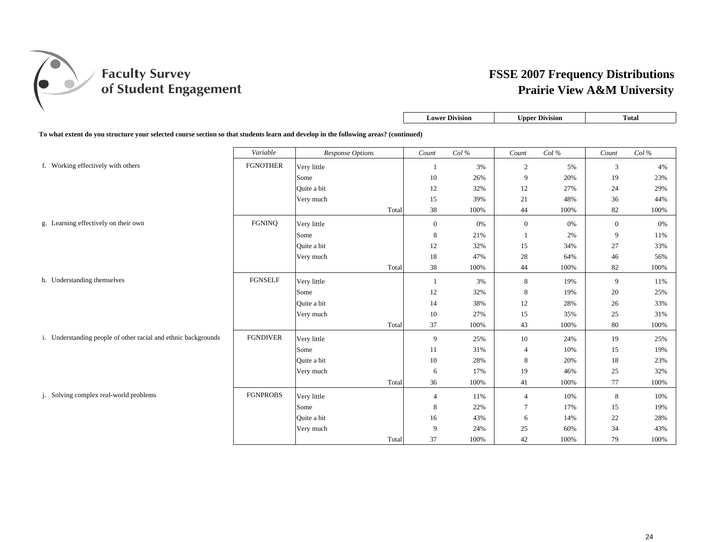

|                                                                                                                                     |                 |                  |       | <b>Lower Division</b> |      |                | <b>Upper Division</b> |              | <b>Total</b> |  |  |
|-------------------------------------------------------------------------------------------------------------------------------------|-----------------|------------------|-------|-----------------------|------|----------------|-----------------------|--------------|--------------|--|--|
| To what extent do you structure your selected course section so that students learn and develop in the following areas? (continued) |                 |                  |       |                       |      |                |                       |              |              |  |  |
|                                                                                                                                     | Variable        | Response Options |       | Count                 | Col% | Count          | $Col\,\%$             | Count        | Col $\%$     |  |  |
| f. Working effectively with others                                                                                                  | <b>FGNOTHER</b> | Very little      |       | -1                    | 3%   | $\overline{2}$ | 5%                    | 3            | 4%           |  |  |
|                                                                                                                                     |                 | Some             |       | 10                    | 26%  | 9              | 20%                   | 19           | 23%          |  |  |
|                                                                                                                                     |                 | Quite a bit      |       | 12                    | 32%  | 12             | 27%                   | 24           | 29%          |  |  |
|                                                                                                                                     |                 | Very much        |       | 15                    | 39%  | 21             | 48%                   | 36           | 44%          |  |  |
|                                                                                                                                     |                 |                  | Total | 38                    | 100% | 44             | 100%                  | 82           | 100%         |  |  |
| g. Learning effectively on their own                                                                                                | <b>FGNINQ</b>   | Very little      |       | $\overline{0}$        | 0%   | $\overline{0}$ | 0%                    | $\mathbf{0}$ | 0%           |  |  |
|                                                                                                                                     |                 | Some             |       | 8                     | 21%  |                | 2%                    | 9            | 11%          |  |  |
|                                                                                                                                     |                 | Quite a bit      |       | 12                    | 32%  | 15             | 34%                   | 27           | 33%          |  |  |
|                                                                                                                                     |                 | Very much        |       | 18                    | 47%  | 28             | 64%                   | 46           | 56%          |  |  |
|                                                                                                                                     |                 |                  | Total | 38                    | 100% | 44             | 100%                  | 82           | 100%         |  |  |
| h. Understanding themselves                                                                                                         | <b>FGNSELF</b>  | Very little      |       | -1                    | 3%   | 8              | 19%                   | 9            | 11%          |  |  |
|                                                                                                                                     |                 | Some             |       | 12                    | 32%  | 8              | 19%                   | 20           | 25%          |  |  |
|                                                                                                                                     |                 | Quite a bit      |       | 14                    | 38%  | 12             | 28%                   | 26           | 33%          |  |  |
|                                                                                                                                     |                 | Very much        |       | 10                    | 27%  | 15             | 35%                   | 25           | 31%          |  |  |
|                                                                                                                                     |                 |                  | Total | 37                    | 100% | 43             | 100%                  | 80           | 100%         |  |  |
| i. Understanding people of other racial and ethnic backgrounds                                                                      | <b>FGNDIVER</b> | Very little      |       | 9                     | 25%  | 10             | 24%                   | 19           | 25%          |  |  |
|                                                                                                                                     |                 | Some             |       | 11                    | 31%  | $\overline{4}$ | 10%                   | 15           | 19%          |  |  |
|                                                                                                                                     |                 | Quite a bit      |       | 10                    | 28%  | 8              | 20%                   | 18           | 23%          |  |  |
|                                                                                                                                     |                 | Very much        |       | 6                     | 17%  | 19             | 46%                   | 25           | 32%          |  |  |
|                                                                                                                                     |                 |                  | Total | 36                    | 100% | 41             | 100%                  | 77           | 100%         |  |  |
| j. Solving complex real-world problems                                                                                              | <b>FGNPROBS</b> | Very little      |       | $\overline{4}$        | 11%  | $\overline{4}$ | 10%                   | 8            | 10%          |  |  |
|                                                                                                                                     |                 | Some             |       | 8                     | 22%  | $\tau$         | 17%                   | 15           | 19%          |  |  |
|                                                                                                                                     |                 | Quite a bit      |       | 16                    | 43%  | 6              | 14%                   | 22           | 28%          |  |  |
|                                                                                                                                     |                 | Very much        |       | 9                     | 24%  | 25             | 60%                   | 34           | 43%          |  |  |
|                                                                                                                                     |                 |                  | Total | 37                    | 100% | 42             | 100%                  | 79           | 100%         |  |  |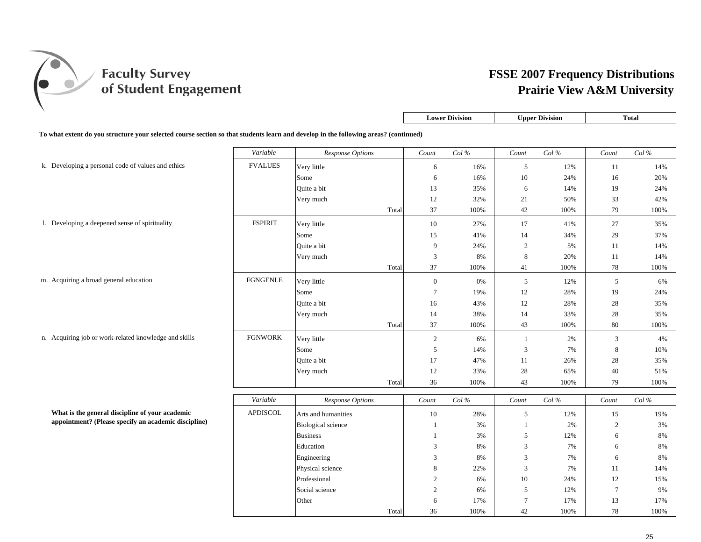

|                                                                                                                                      |                | <b>Total</b> |
|--------------------------------------------------------------------------------------------------------------------------------------|----------------|--------------|
| To what extent do you structure your selected course section so that students learn and develop in the following areas? (continued)  |                |              |
| Variable<br>Col%<br>Col $\%$<br>Count<br>Count<br>Response Options                                                                   | Count          | Col%         |
| <b>FVALUES</b><br>k. Developing a personal code of values and ethics<br>Very little<br>6<br>16%<br>5<br>12%                          | 11             | 14%          |
| $10\,$<br>Some<br>16%<br>24%<br>6                                                                                                    | 16             | 20%          |
| Quite a bit<br>13<br>35%<br>6<br>14%                                                                                                 | 19             | 24%          |
| 12<br>32%<br>21<br>50%<br>Very much                                                                                                  | 33             | 42%          |
| 42<br>Total<br>37<br>100%<br>100%                                                                                                    | 79             | 100%         |
| <b>FSPIRIT</b><br>1. Developing a deepened sense of spirituality<br>Very little<br>10<br>27%<br>17<br>41%                            | 27             | 35%          |
| Some<br>15<br>41%<br>14<br>34%                                                                                                       | 29             | 37%          |
| Quite a bit<br>9<br>$\overline{c}$<br>24%<br>5%                                                                                      | 11             | 14%          |
| 3<br>8<br>Very much<br>8%<br>20%                                                                                                     | 11             | 14%          |
| Total<br>37<br>41<br>100%<br>100%                                                                                                    | 78             | 100%         |
| <b>FGNGENLE</b><br>m. Acquiring a broad general education<br>Very little<br>$\boldsymbol{0}$<br>5<br>12%<br>0%                       | 5              | 6%           |
| $7\phantom{.0}$<br>12<br>28%<br>Some<br>19%                                                                                          | 19             | 24%          |
| Quite a bit<br>43%<br>12<br>28%<br>16                                                                                                | 28             | 35%          |
| Very much<br>14<br>38%<br>14<br>33%                                                                                                  | 28             | 35%          |
| 37<br>43<br>Total<br>100%<br>100%                                                                                                    | 80             | 100%         |
| <b>FGNWORK</b><br>n. Acquiring job or work-related knowledge and skills<br>Very little<br>$\overline{2}$<br>$\mathbf{1}$<br>2%<br>6% | 3              | 4%           |
| 5<br>$\mathfrak{Z}$<br>7%<br>14%<br>Some                                                                                             | $\,8\,$        | 10%          |
| Quite a bit<br>17<br>47%<br>11<br>26%                                                                                                | 28             | 35%          |
| 12<br>33%<br>28<br>65%<br>Very much                                                                                                  | 40             | 51%          |
| 36<br>100%<br>43<br>Total<br>100%                                                                                                    | 79             | 100%         |
| Variable<br>Col%<br>Col $\%$<br>Response Options<br>Count<br>Count                                                                   | Count          | Col%         |
| What is the general discipline of your academic<br><b>APDISCOL</b>                                                                   |                |              |
| 10<br>28%<br>Arts and humanities<br>5<br>12%<br>appointment? (Please specify an academic discipline)                                 | 15             | 19%          |
| <b>Biological</b> science<br>3%<br>2%<br>$\overline{1}$<br>$\mathbf{1}$                                                              | $\overline{2}$ | 3%           |
| <b>Business</b><br>5<br>3%<br>12%<br>$\mathbf{1}$                                                                                    | 6              | $8\%$        |
| Education<br>3<br>3<br>8%<br>7%                                                                                                      | 6              | 8%           |
| 3<br>8%<br>3<br>7%<br>Engineering                                                                                                    | 6              | 8%           |
| $\mathfrak{Z}$<br>Physical science<br>8<br>22%<br>7%                                                                                 | 11             | 14%          |
|                                                                                                                                      | 12             | 15%          |
| Professional<br>$10\,$<br>$\mathfrak{2}$<br>6%<br>24%                                                                                |                |              |
| Social science<br>$\overline{2}$<br>$\sqrt{5}$<br>6%<br>12%<br>$\overline{7}$<br>17%<br>Other<br>6<br>17%                            | $\tau$<br>13   | 9%<br>17%    |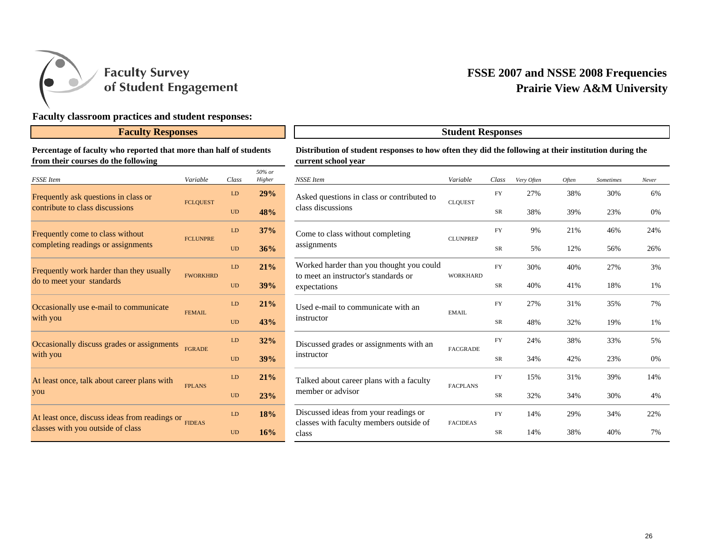

## **Faculty classroom practices and student responses:**

#### **Faculty Responses**

#### **Percentage of faculty who reported that more than half of students from their courses do the following**

| <b>FSSE</b> Item                              | Variable        | Class     | 50% or<br>Higher |
|-----------------------------------------------|-----------------|-----------|------------------|
| Frequently ask questions in class or          | <b>FCLQUEST</b> | LD        | 29%              |
| contribute to class discussions               |                 | <b>UD</b> | 48%              |
| Frequently come to class without              |                 | LD        | 37%              |
| completing readings or assignments            | <b>FCLUNPRE</b> | <b>UD</b> | 36%              |
| Frequently work harder than they usually      |                 | LD        | 21%              |
| do to meet your standards                     | <b>FWORKHRD</b> | <b>UD</b> | 39%              |
| Occasionally use e-mail to communicate        |                 | LD        | 21%              |
| with you                                      | <b>FEMAIL</b>   | <b>UD</b> | 43%              |
| Occasionally discuss grades or assignments    |                 | LD        | 32%              |
| with you                                      | <b>FGRADE</b>   | <b>UD</b> | 39%              |
| At least once, talk about career plans with   |                 | LD        | 21%              |
| you                                           | <b>FPLANS</b>   | <b>UD</b> | 23%              |
| At least once, discuss ideas from readings or |                 | LD        | 18%              |
| classes with you outside of class             | <b>FIDEAS</b>   | <b>UD</b> | 16%              |
|                                               |                 |           |                  |

#### **Distribution of student responses to how often they did the following at their institution during the current school year**

**Student Responses**

| $50\%$ or<br>Higher | NSSE Item                                                                        | Variable        | Class      | Very Often | <b>Often</b> | Sometimes | Never |
|---------------------|----------------------------------------------------------------------------------|-----------------|------------|------------|--------------|-----------|-------|
| 29%                 | Asked questions in class or contributed to                                       | <b>CLOUEST</b>  | FY         | 27%        | 38%          | 30%       | 6%    |
| 48%                 | class discussions                                                                |                 | <b>SR</b>  | 38%        | 39%          | 23%       | 0%    |
| 37%                 | Come to class without completing                                                 | <b>CLUNPREP</b> | <b>FY</b>  | 9%         | 21%          | 46%       | 24%   |
| 36%                 | assignments                                                                      |                 | ${\rm SR}$ | 5%         | 12%          | 56%       | 26%   |
| 21%                 | Worked harder than you thought you could<br>to meet an instructor's standards or | <b>WORKHARD</b> | FY         | 30%        | 40%          | 27%       | 3%    |
| 39%                 | expectations                                                                     |                 | ${\rm SR}$ | 40%        | 41%          | 18%       | 1%    |
| 21%                 | Used e-mail to communicate with an                                               | <b>EMAIL</b>    | FY         | 27%        | 31%          | 35%       | 7%    |
| 43%                 | instructor                                                                       |                 | SR         | 48%        | 32%          | 19%       | 1%    |
| 32%                 | Discussed grades or assignments with an                                          | <b>FACGRADE</b> | FY         | 24%        | 38%          | 33%       | 5%    |
| 39%                 | instructor                                                                       |                 | ${\rm SR}$ | 34%        | 42%          | 23%       | 0%    |
| 21%                 | Talked about career plans with a faculty                                         | <b>FACPLANS</b> | FY         | 15%        | 31%          | 39%       | 14%   |
| 23%                 | member or advisor                                                                |                 | ${\rm SR}$ | 32%        | 34%          | 30%       | 4%    |
| 18%                 | Discussed ideas from your readings or                                            | <b>FACIDEAS</b> | FY         | 14%        | 29%          | 34%       | 22%   |
| 16%                 | classes with faculty members outside of<br>class                                 |                 | SR         | 14%        | 38%          | 40%       | 7%    |
|                     |                                                                                  |                 |            |            |              |           |       |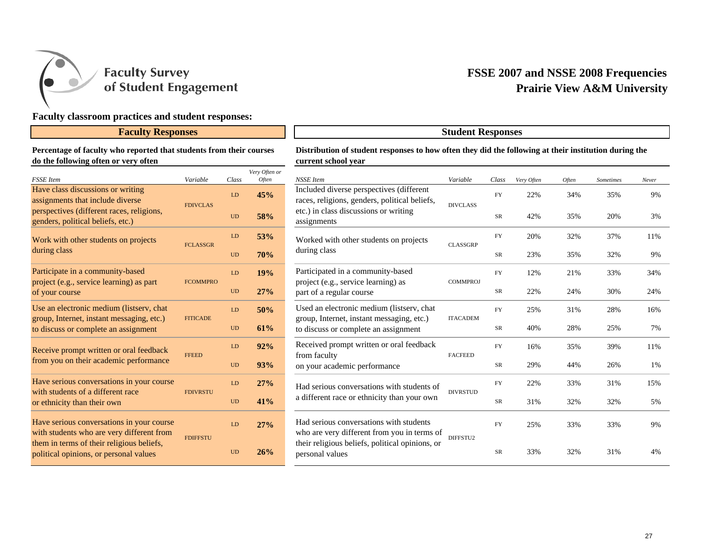

## **Faculty classroom practices and student responses:**

## **Faculty Responses Student Responses**

#### **Percentage of faculty who reported that students from their courses do the following often or very often**

| <b>FSSE</b> Item                                                                       | Variable        | Class     | Very Often or<br>Often |
|----------------------------------------------------------------------------------------|-----------------|-----------|------------------------|
| Have class discussions or writing<br>assignments that include diverse                  | <b>FDIVCLAS</b> | LD        | 45%                    |
| perspectives (different races, religions,<br>genders, political beliefs, etc.)         |                 | <b>UD</b> | 58%                    |
| Work with other students on projects                                                   | <b>FCLASSGR</b> | LD        | 53%                    |
| during class                                                                           |                 | <b>UD</b> | 70%                    |
| Participate in a community-based<br>project (e.g., service learning) as part           | <b>FCOMMPRO</b> | LD        | 19%                    |
| of your course                                                                         |                 | <b>UD</b> | 27%                    |
| Use an electronic medium (listserv, chat<br>group, Internet, instant messaging, etc.)  | <b>FITICADE</b> |           | 50%                    |
| to discuss or complete an assignment                                                   |                 | <b>UD</b> | 61%                    |
| Receive prompt written or oral feedback                                                | <b>FFEED</b>    | LD        | 92%                    |
| from you on their academic performance                                                 |                 | <b>UD</b> | 93%                    |
| Have serious conversations in your course<br>with students of a different race         | <b>FDIVRSTU</b> | LD        | 27%                    |
| or ethnicity than their own                                                            |                 | <b>UD</b> | 41%                    |
| Have serious conversations in your course<br>with students who are very different from | <b>FDIFFSTU</b> | LD        | 27%                    |
| them in terms of their religious beliefs,<br>political opinions, or personal values    |                 | <b>UD</b> | 26%                    |

#### **Distribution of student responses to how often they did the following at their institution during the current school year**

| Often or<br><b>Often</b> | <b>NSSE</b> Item                                                                          | Variable        | Class     | Very Often | Often | <b>Sometimes</b> | Never |
|--------------------------|-------------------------------------------------------------------------------------------|-----------------|-----------|------------|-------|------------------|-------|
| 15%                      | Included diverse perspectives (different<br>races, religions, genders, political beliefs, | <b>DIVCLASS</b> | FY        | 22%        | 34%   | 35%              | 9%    |
| 58%                      | etc.) in class discussions or writing<br>assignments                                      |                 | SR        | 42%        | 35%   | 20%              | 3%    |
| 53%                      | Worked with other students on projects                                                    | <b>CLASSGRP</b> | <b>FY</b> | 20%        | 32%   | 37%              | 11%   |
| 70%                      | during class                                                                              |                 | <b>SR</b> | 23%        | 35%   | 32%              | 9%    |
| 19%                      | Participated in a community-based<br>project (e.g., service learning) as                  | <b>COMMPROJ</b> | <b>FY</b> | 12%        | 21%   | 33%              | 34%   |
| $27\%$                   | part of a regular course                                                                  |                 | SR        | 22%        | 24%   | 30%              | 24%   |
| 50%                      | Used an electronic medium (listserv, chat<br>group, Internet, instant messaging, etc.)    | <b>ITACADEM</b> | <b>FY</b> | 25%        | 31%   | 28%              | 16%   |
| 51%                      | to discuss or complete an assignment                                                      |                 | SR        | 40%        | 28%   | 25%              | 7%    |
| 2%                       | Received prompt written or oral feedback<br>from faculty                                  | <b>FACFEED</b>  | <b>FY</b> | 16%        | 35%   | 39%              | 11%   |
| 3%                       | on your academic performance                                                              |                 | SR        | 29%        | 44%   | 26%              | 1%    |
| 27%                      | Had serious conversations with students of                                                | <b>DIVRSTUD</b> | <b>FY</b> | 22%        | 33%   | 31%              | 15%   |
| 11%                      | a different race or ethnicity than your own                                               |                 | <b>SR</b> | 31%        | 32%   | 32%              | 5%    |
| $27\%$                   | Had serious conversations with students<br>who are very different from you in terms of    | DIFFSTU2        | FY        | 25%        | 33%   | 33%              | 9%    |
| 26%                      | their religious beliefs, political opinions, or<br>personal values                        |                 | SR        | 33%        | 32%   | 31%              | 4%    |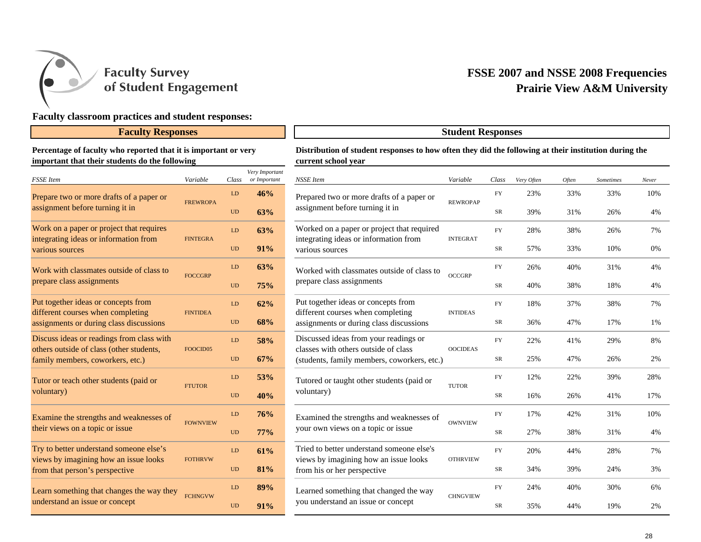

## **Faculty classroom practices and student responses:**

## **Faculty Responses Student Responses**

#### **Percentage of faculty who reported that it is important or very important that their students do the following**

| <b>FSSE</b> Item                                                             | Variable        | Class     | Very Important<br>or Important |
|------------------------------------------------------------------------------|-----------------|-----------|--------------------------------|
| Prepare two or more drafts of a paper or                                     |                 | LD        | 46%                            |
| assignment before turning it in                                              | <b>FREWROPA</b> | <b>UD</b> | 63%                            |
| Work on a paper or project that requires                                     |                 | LD        | 63%                            |
| integrating ideas or information from<br>various sources                     | <b>FINTEGRA</b> | <b>UD</b> | 91%                            |
| Work with classmates outside of class to                                     | <b>FOCCGRP</b>  | LD        | 63%                            |
| prepare class assignments                                                    |                 | <b>UD</b> | 75%                            |
| Put together ideas or concepts from                                          |                 | LD        | 62%                            |
| different courses when completing<br>assignments or during class discussions | <b>FINTIDEA</b> | <b>UD</b> | 68%                            |
| Discuss ideas or readings from class with                                    |                 | LD        | 58%                            |
| others outside of class (other students,<br>family members, coworkers, etc.) | FOOCID05        | <b>UD</b> | 67%                            |
| Tutor or teach other students (paid or                                       |                 | LD        | 53%                            |
| voluntary)                                                                   | <b>FTUTOR</b>   | <b>UD</b> | 40%                            |
| Examine the strengths and weaknesses of                                      | <b>FOWNVIEW</b> | LD        | 76%                            |
| their views on a topic or issue                                              |                 | <b>UD</b> | 77%                            |
| Try to better understand someone else's                                      | <b>FOTHRVW</b>  | LD        | 61%                            |
| views by imagining how an issue looks<br>from that person's perspective      |                 | <b>UD</b> | 81%                            |
| Learn something that changes the way they                                    |                 | LD        | 89%                            |
| understand an issue or concept                                               | <b>FCHNGVW</b>  | UD        | 91%                            |

#### **Distribution of student responses to how often they did the following at their institution during the current school year**

|                | Class      | Very Important<br>or Important | NSSE Item                                                                           | Variable        | Class      | Very Often | <b>Often</b> | Sometimes | Never |
|----------------|------------|--------------------------------|-------------------------------------------------------------------------------------|-----------------|------------|------------|--------------|-----------|-------|
|                | <b>LD</b>  | 46%                            | Prepared two or more drafts of a paper or                                           |                 | FY         | 23%        | 33%          | 33%       | 10%   |
| PA             | <b>UD</b>  | 63%                            | assignment before turning it in                                                     | <b>REWROPAP</b> | ${\rm SR}$ | 39%        | 31%          | 26%       | 4%    |
| A              | LD         | 63%                            | Worked on a paper or project that required<br>integrating ideas or information from | <b>INTEGRAT</b> | <b>FY</b>  | 28%        | 38%          | 26%       | 7%    |
|                | <b>UD</b>  | 91%                            | various sources                                                                     |                 | SR         | 57%        | 33%          | 10%       | 0%    |
| LD             |            | 63%                            | Worked with classmates outside of class to                                          | <b>OCCGRP</b>   | <b>FY</b>  | 26%        | 40%          | 31%       | 4%    |
|                | <b>UD</b>  | 75%                            | prepare class assignments                                                           |                 | SR         | 40%        | 38%          | 18%       | 4%    |
|                | LD         | 62%                            | Put together ideas or concepts from<br>different courses when completing            | <b>INTIDEAS</b> | FY         | 18%        | 37%          | 38%       | 7%    |
|                | <b>UD</b>  | 68%                            | assignments or during class discussions                                             |                 | SR         | 36%        | 47%          | 17%       | 1%    |
|                | LD         | 58%                            | Discussed ideas from your readings or<br>classes with others outside of class       | <b>OOCIDEAS</b> | <b>FY</b>  | 22%        | 41%          | 29%       | 8%    |
| $\overline{5}$ | <b>UD</b>  | 67%                            | (students, family members, coworkers, etc.)                                         |                 | SR         | 25%        | 47%          | 26%       | 2%    |
|                | LD         | 53%                            | Tutored or taught other students (paid or                                           | <b>TUTOR</b>    | FY         | 12%        | 22%          | 39%       | 28%   |
|                | <b>UD</b>  | 40%                            | voluntary)                                                                          |                 | SR         | 16%        | 26%          | 41%       | 17%   |
| <b>EW</b>      | ${\rm LD}$ | 76%                            | Examined the strengths and weaknesses of                                            | <b>OWNVIEW</b>  | FY         | 17%        | 42%          | 31%       | 10%   |
|                | <b>UD</b>  | <b>77%</b>                     | your own views on a topic or issue                                                  |                 | ${\rm SR}$ | 27%        | 38%          | 31%       | 4%    |
| W              | ${\rm LD}$ | 61%                            | Tried to better understand someone else's<br>views by imagining how an issue looks  | <b>OTHRVIEW</b> | <b>FY</b>  | 20%        | 44%          | 28%       | 7%    |
|                | <b>UD</b>  | 81%                            | from his or her perspective                                                         |                 | SR         | 34%        | 39%          | 24%       | 3%    |
|                | LD         | 89%                            | Learned something that changed the way                                              | <b>CHNGVIEW</b> | <b>FY</b>  | 24%        | 40%          | 30%       | 6%    |
| W              | <b>UD</b>  | 91%                            | you understand an issue or concept                                                  |                 | SR         | 35%        | 44%          | 19%       | 2%    |
|                |            |                                |                                                                                     |                 |            |            |              |           |       |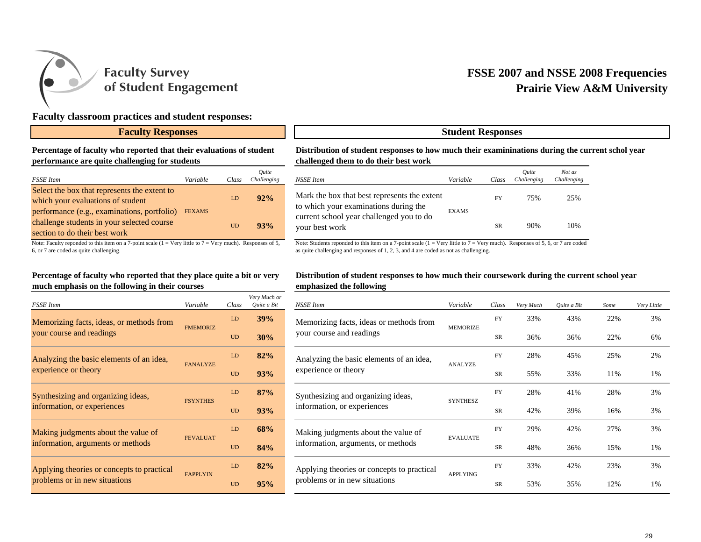

## **Faculty classroom practices and student responses:**

#### **Faculty Responses 1 1 Student Responses**

#### **Percentage of faculty who reported that their evaluations of student performance are quite challenging for students**

| <b>FSSE</b> Item                                                                                                           | Variable      | Class | Ouite<br>Challenging |
|----------------------------------------------------------------------------------------------------------------------------|---------------|-------|----------------------|
| Select the box that represents the extent to<br>which your evaluations of student                                          |               | LD    | $92\%$               |
| performance (e.g., examinations, portfolio)<br>challenge students in your selected course<br>section to do their best work | <b>FEXAMS</b> | UD    | 93%                  |

Note: Faculty reponded to this item on a 7-point scale ( $1 = \text{Very little to } 7 = \text{Very much}$ ). Responses of 5, 6, or 7 are coded as quite challenging.

#### **Percentage of faculty who reported that they place quite a bit or very much emphasis on the following in their courses**

| <b>FSSE</b> Item                           | Variable        | Class | Very Much or<br>Ouite a Bit |
|--------------------------------------------|-----------------|-------|-----------------------------|
| Memorizing facts, ideas, or methods from   | <b>FMEMORIZ</b> | LD    | 39%                         |
| your course and readings                   |                 | UD    | 30%                         |
| Analyzing the basic elements of an idea,   | <b>FANALYZE</b> | LD    | 82%                         |
| experience or theory                       |                 | UD    | 93%                         |
| Synthesizing and organizing ideas,         | <b>FSYNTHES</b> | LD    | 87%                         |
| information, or experiences                |                 | UD    | 93%                         |
| Making judgments about the value of        | <b>FEVALUAT</b> | LD    | 68%                         |
| information, arguments or methods          |                 | UD    | 84%                         |
| Applying theories or concepts to practical | <b>FAPPLYIN</b> | LD    | 82%                         |
| problems or in new situations              |                 | UD    | 95%                         |

#### **Distribution of student responses to how much their examininations during the current schol year challenged them to do their best work**

| Ouite<br>Challenging | NSSE Item                                                                             | Variable     | Class     | Ouite<br>Challenging | Not as<br>Challenging |
|----------------------|---------------------------------------------------------------------------------------|--------------|-----------|----------------------|-----------------------|
| 92%                  | Mark the box that best represents the extent<br>to which your examinations during the | <b>EXAMS</b> | FY        | 75%                  | 25%                   |
| 93%                  | current school year challenged you to do<br>your best work                            |              | <b>SR</b> | 90%                  | 10%                   |

Note: Students reponded to this item on a 7-point scale  $(1 = \text{Very little to } 7 = \text{Very much})$ . Responses of 5, 6, or 7 are coded as quite challenging and responses of 1, 2, 3, and 4 are coded as not as challenging.

#### **Distribution of student responses to how much their coursework during the current school year emphasized the following**

|  |           | Very Much or |                                                                   |                 |           |           |             |      |             |
|--|-----------|--------------|-------------------------------------------------------------------|-----------------|-----------|-----------|-------------|------|-------------|
|  | Class     | Ouite a Bit  | NSSE Item                                                         | Variable        | Class     | Very Much | Ouite a Bit | Some | Very Little |
|  | LD.       | 39%          | Memorizing facts, ideas or methods from                           | <b>MEMORIZE</b> | <b>FY</b> | 33%       | 43%         | 22%  | 3%          |
|  | <b>UD</b> | 30%          | your course and readings                                          |                 | <b>SR</b> | 36%       | 36%         | 22%  | 6%          |
|  | LD        | 82%          | Analyzing the basic elements of an idea,                          | <b>ANALYZE</b>  | <b>FY</b> | 28%       | 45%         | 25%  | 2%          |
|  | <b>UD</b> | 93%          | experience or theory                                              |                 | <b>SR</b> | 55%       | 33%         | 11%  | 1%          |
|  | LD        | 87%          | Synthesizing and organizing ideas,<br>information, or experiences | <b>SYNTHESZ</b> | <b>FY</b> | 28%       | 41%         | 28%  | 3%          |
|  | <b>UD</b> | 93%          |                                                                   |                 | <b>SR</b> | 42%       | 39%         | 16%  | 3%          |
|  | LD        | 68%          | Making judgments about the value of                               | <b>EVALUATE</b> | <b>FY</b> | 29%       | 42%         | 27%  | 3%          |
|  | <b>UD</b> | 84%          | information, arguments, or methods                                |                 | <b>SR</b> | 48%       | 36%         | 15%  | 1%          |
|  | LD        | 82%          | Applying theories or concepts to practical                        | <b>APPLYING</b> | <b>FY</b> | 33%       | 42%         | 23%  | 3%          |
|  | <b>UD</b> | 95%          | problems or in new situations                                     |                 | <b>SR</b> | 53%       | 35%         | 12%  | 1%          |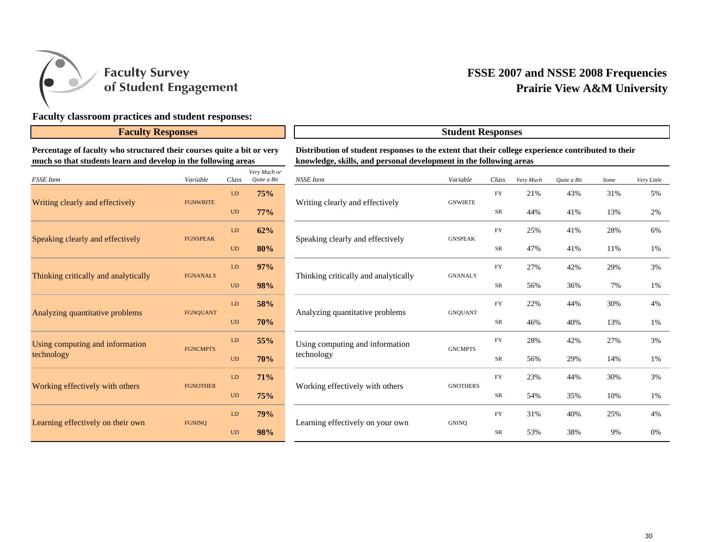

## **Faculty classroom practices and student responses:**

#### **Faculty Responses Student Responses**

**Percentage of faculty who structured their courses quite a bit or very much so that students learn and develop in the following areas**

| <b>FSSE</b> Item                     | Variable        | Class     | Very Much or<br>Quite a Bit |
|--------------------------------------|-----------------|-----------|-----------------------------|
|                                      |                 | LD        | 75%                         |
| Writing clearly and effectively      | <b>FGNWRITE</b> | <b>UD</b> | 77%                         |
| Speaking clearly and effectively     | <b>FGNSPEAK</b> | <b>LD</b> | 62%                         |
|                                      |                 | <b>UD</b> | 80%                         |
| Thinking critically and analytically | <b>FGNANALY</b> | <b>LD</b> | 97%                         |
|                                      |                 | <b>UD</b> | <b>98%</b>                  |
| Analyzing quantitative problems      | <b>FGNOUANT</b> | LD        | 58%                         |
|                                      |                 | <b>UD</b> | <b>70%</b>                  |
| Using computing and information      | <b>FGNCMPTS</b> | <b>LD</b> | 55%                         |
| technology                           |                 | <b>UD</b> | 70%                         |
| Working effectively with others      | <b>FGNOTHER</b> | <b>LD</b> | 71%                         |
|                                      |                 | <b>UD</b> | 75%                         |
|                                      | <b>FGNINO</b>   | <b>LD</b> | <b>79%</b>                  |
| Learning effectively on their own    |                 | <b>UD</b> | 98%                         |

# **Distribution of student responses to the extent that their college experience contributed to their knowledge, skills, and personal development in the following areas**

| ery Much or<br>Quite a Bit | <b>NSSE</b> Item                     | Variable        | Class      | Very Much | Quite a Bit | Some | Very Little |
|----------------------------|--------------------------------------|-----------------|------------|-----------|-------------|------|-------------|
| 75%                        |                                      | <b>GNWIRTE</b>  | <b>FY</b>  | 21%       | 43%         | 31%  | 5%          |
| <b>77%</b>                 | Writing clearly and effectively      |                 | SR         | 44%       | 41%         | 13%  | 2%          |
| 62%                        | Speaking clearly and effectively     | <b>GNSPEAK</b>  | <b>FY</b>  | 25%       | 41%         | 28%  | 6%          |
| 80%                        |                                      |                 | ${\rm SR}$ | 47%       | 41%         | 11%  | 1%          |
| 97%                        | Thinking critically and analytically | <b>GNANALY</b>  | <b>FY</b>  | 27%       | 42%         | 29%  | 3%          |
| 98%                        |                                      |                 | SR         | 56%       | 36%         | 7%   | 1%          |
| 58%                        | Analyzing quantitative problems      | <b>GNQUANT</b>  | <b>FY</b>  | 22%       | 44%         | 30%  | 4%          |
| 70%                        |                                      |                 | ${\rm SR}$ | 46%       | 40%         | 13%  | 1%          |
| 55%                        | Using computing and information      | <b>GNCMPTS</b>  | <b>FY</b>  | 28%       | 42%         | 27%  | 3%          |
| 70%                        | technology                           |                 | SR         | 56%       | 29%         | 14%  | 1%          |
| 71%                        |                                      | <b>GNOTHERS</b> | <b>FY</b>  | 23%       | 44%         | 30%  | 3%          |
| 75%                        | Working effectively with others      |                 | SR         | 54%       | 35%         | 10%  | 1%          |
| 79%                        |                                      | <b>GNINO</b>    | <b>FY</b>  | 31%       | 40%         | 25%  | 4%          |
| 98%                        | Learning effectively on your own     |                 | SR         | 53%       | 38%         | 9%   | 0%          |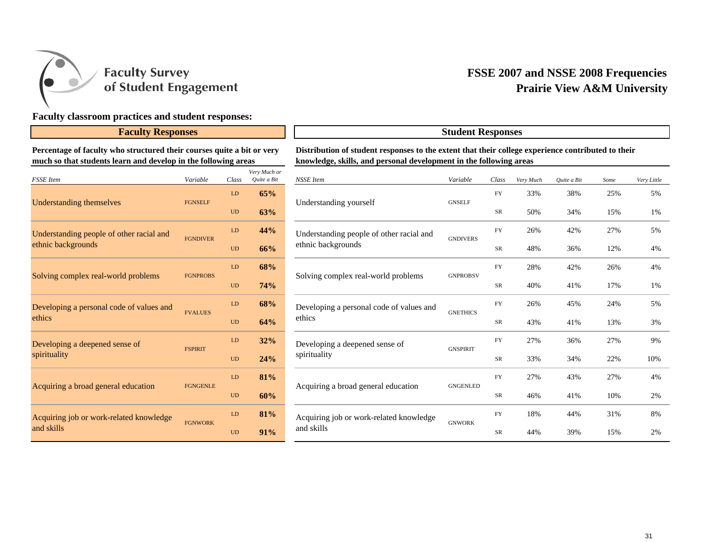

## **Faculty classroom practices and student responses:**

**Percentage of faculty who structured their courses quite a bit or very much so that students learn and develop in the following areas**

| <b>FSSE</b> Item                         | Variable        | Class     | Very Much or<br>Quite a Bit |
|------------------------------------------|-----------------|-----------|-----------------------------|
|                                          |                 | <b>LD</b> | 65%                         |
| <b>Understanding themselves</b>          | <b>FGNSELF</b>  | <b>UD</b> | 63%                         |
| Understanding people of other racial and | <b>FGNDIVER</b> | LD        | 44%                         |
| ethnic backgrounds                       |                 | <b>UD</b> | 66%                         |
|                                          | <b>FGNPROBS</b> | LD        | 68%                         |
| Solving complex real-world problems      |                 | <b>UD</b> | 74%                         |
| Developing a personal code of values and | <b>FVALUES</b>  | LD        | 68%                         |
| ethics                                   |                 | <b>UD</b> | 64%                         |
| Developing a deepened sense of           | <b>FSPIRIT</b>  | LD        | 32%                         |
| spirituality                             |                 | <b>UD</b> | 24%                         |
|                                          | <b>FGNGENLE</b> | LD        | 81%                         |
| Acquiring a broad general education      |                 | <b>UD</b> | 60%                         |
| Acquiring job or work-related knowledge  |                 | LD        | 81%                         |
| and skills                               | <b>FGNWORK</b>  | UD        | 91%                         |

# **Faculty Responses Student Responses Distribution of student responses to the extent that their college experience contributed to their knowledge, skills, and personal development in the following areas**

| ет у тисн от<br>Quite a Bit | NSSE Item                                | Variable        | Class      | Very Much | Quite a Bit | Some | Very Little |
|-----------------------------|------------------------------------------|-----------------|------------|-----------|-------------|------|-------------|
| 65%                         | Understanding yourself                   | <b>GNSELF</b>   | <b>FY</b>  | 33%       | 38%         | 25%  | 5%          |
| 63%                         |                                          |                 | SR         | 50%       | 34%         | 15%  | 1%          |
| 44%                         | Understanding people of other racial and | <b>GNDIVERS</b> | <b>FY</b>  | 26%       | 42%         | 27%  | 5%          |
| 66%                         | ethnic backgrounds                       |                 | SR         | 48%       | 36%         | 12%  | 4%          |
| 68%                         | Solving complex real-world problems      | <b>GNPROBSV</b> | FY         | 28%       | 42%         | 26%  | 4%          |
| 74%                         |                                          |                 | SR         | 40%       | 41%         | 17%  | 1%          |
| 68%                         | Developing a personal code of values and | <b>GNETHICS</b> | <b>FY</b>  | 26%       | 45%         | 24%  | 5%          |
| 64%                         | ethics                                   |                 | SR         | 43%       | 41%         | 13%  | 3%          |
| 32%                         | Developing a deepened sense of           | <b>GNSPIRIT</b> | <b>FY</b>  | 27%       | 36%         | 27%  | 9%          |
| 24%                         | spirituality                             |                 | SR         | 33%       | 34%         | 22%  | 10%         |
| 81%                         |                                          | <b>GNGENLED</b> | <b>FY</b>  | 27%       | 43%         | 27%  | 4%          |
| 60%                         | Acquiring a broad general education      |                 | SR         | 46%       | 41%         | 10%  | 2%          |
| 81%                         | Acquiring job or work-related knowledge  |                 | <b>FY</b>  | 18%       | 44%         | 31%  | 8%          |
| 91%                         | and skills                               | <b>GNWORK</b>   | ${\rm SR}$ | 44%       | 39%         | 15%  | 2%          |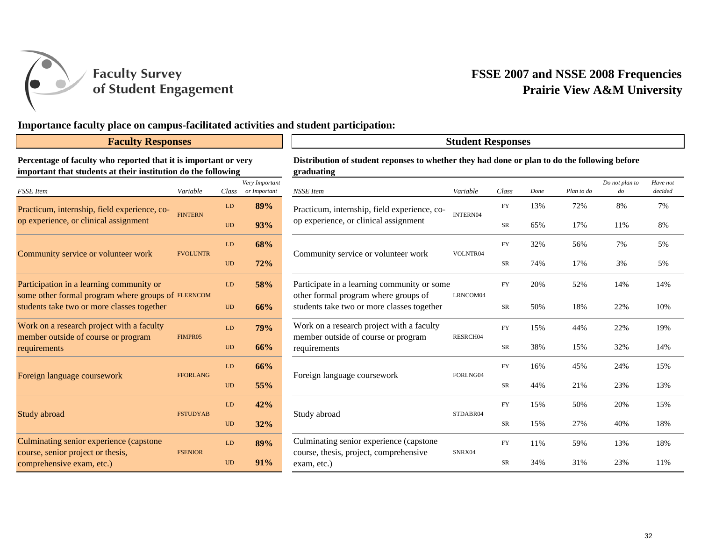

**Faculty Survey** of Student Engagement

## **FSSE 2007 and NSSE 2008 Frequencies Prairie View A&M University**

## **Importance faculty place on campus-facilitated activities and student participation:**

#### **Faculty Responses**

### **Student Responses**

**Percentage of faculty who reported that it is important or very important that students at their institution do the following**

| <b>FSSE</b> Item                                                                                 | Variable        | Class     | Very Important<br>or Important | NSSE Item                     |
|--------------------------------------------------------------------------------------------------|-----------------|-----------|--------------------------------|-------------------------------|
| Practicum, internship, field experience, co-                                                     | <b>FINTERN</b>  | LD        | 89%                            | Practicum, in                 |
| op experience, or clinical assignment                                                            |                 | <b>UD</b> | 93%                            | op experience                 |
|                                                                                                  | <b>FVOLUNTR</b> | LD        | 68%                            | Community s                   |
| Community service or volunteer work                                                              |                 | <b>UD</b> | 72%                            |                               |
| Participation in a learning community or                                                         |                 | LD        | <b>58%</b>                     | Participate in                |
| some other formal program where groups of FLERNCOM<br>students take two or more classes together |                 | <b>UD</b> | 66%                            | other formal<br>students take |
| Work on a research project with a faculty                                                        | FIMPR05         | LD        | <b>79%</b>                     | Work on a re                  |
| member outside of course or program<br>requirements                                              |                 | <b>UD</b> | 66%                            | member outs:<br>requirements  |
|                                                                                                  |                 | LD        | 66%                            |                               |
| Foreign language coursework                                                                      | <b>FFORLANG</b> | <b>UD</b> | 55%                            | Foreign langu                 |
|                                                                                                  |                 | LD        | 42%                            |                               |
| Study abroad                                                                                     | <b>FSTUDYAB</b> | <b>UD</b> | 32%                            | Study abroad                  |
| Culminating senior experience (capstone                                                          |                 | LD        | 89%                            | Culminating                   |
| course, senior project or thesis,<br>comprehensive exam, etc.)                                   | <b>FSENIOR</b>  | <b>UD</b> | 91%                            | course, thesis<br>exam, etc.) |

**Distribution of student reponses to whether they had done or plan to do the following before graduating**

|   | Class                  | Very Important<br>or Important | <b>NSSE</b> Item                                                                                                                  | Variable | Class      | Done | Plan to do | Do not plan to<br>$d$ o | Have not<br>decided |
|---|------------------------|--------------------------------|-----------------------------------------------------------------------------------------------------------------------------------|----------|------------|------|------------|-------------------------|---------------------|
|   | LD                     | 89%                            | Practicum, internship, field experience, co-                                                                                      |          | <b>FY</b>  | 13%  | 72%        | 8%                      | 7%                  |
|   | <b>UD</b>              | 93%                            | op experience, or clinical assignment                                                                                             | INTERN04 | SR         | 65%  | 17%        | 11%                     | 8%                  |
| R | LD                     | 68%                            |                                                                                                                                   |          | <b>FY</b>  | 32%  | 56%        | 7%                      | 5%                  |
|   | <b>UD</b>              | 72%                            | Community service or volunteer work                                                                                               | VOLNTR04 | SR         | 74%  | 17%        | 3%                      | 5%                  |
| M | LD                     | 58%                            | Participate in a learning community or some<br>other formal program where groups of<br>students take two or more classes together |          | <b>FY</b>  | 20%  | 52%        | 14%                     | 14%                 |
|   | <b>UD</b>              | 66%                            |                                                                                                                                   | LRNCOM04 | SR         | 50%  | 18%        | 22%                     | 10%                 |
|   | ${\rm LD}$             | 79%                            | Work on a research project with a faculty                                                                                         |          | ${\rm FY}$ | 15%  | 44%        | 22%                     | 19%                 |
|   | <b>UD</b>              | 66%                            | member outside of course or program<br>requirements                                                                               | RESRCH04 | SR         | 38%  | 15%        | 32%                     | 14%                 |
|   | $\mathbf{L}\mathbf{D}$ | 66%                            |                                                                                                                                   |          | ${\rm FY}$ | 16%  | 45%        | 24%                     | 15%                 |
|   | $\rm UD$               | 55%                            | Foreign language coursework                                                                                                       | FORLNG04 | SR         | 44%  | 21%        | 23%                     | 13%                 |
|   | LD                     | 42%                            |                                                                                                                                   | STDABR04 | <b>FY</b>  | 15%  | 50%        | 20%                     | 15%                 |
|   | $\rm UD$               | 32%                            | Study abroad                                                                                                                      |          | SR         | 15%  | 27%        | 40%                     | 18%                 |
|   | LD                     | 89%                            | Culminating senior experience (capstone                                                                                           |          | FY         | 11%  | 59%        | 13%                     | 18%                 |
|   | <b>UD</b>              | 91%                            | course, thesis, project, comprehensive<br>exam, etc.)                                                                             | SNRX04   | <b>SR</b>  | 34%  | 31%        | 23%                     | 11%                 |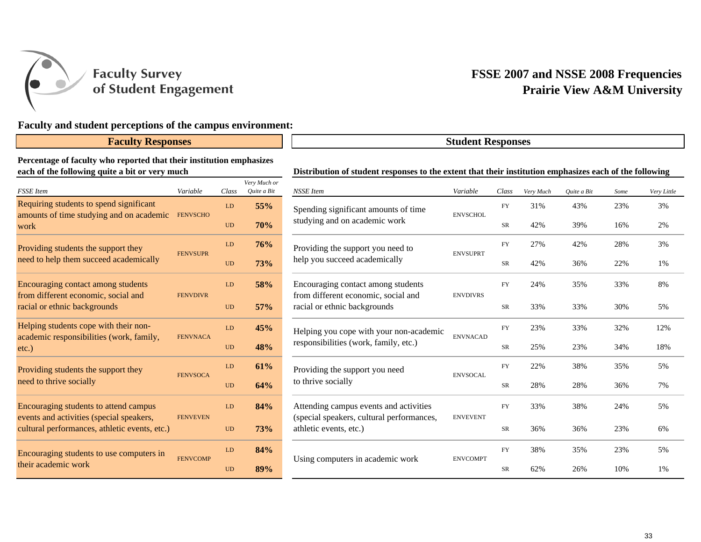

**Faculty Survey** of Student Engagement

## **FSSE 2007 and NSSE 2008 Frequencies Prairie View A&M University**

## **Faculty and student perceptions of the campus environment:**

## **Faculty Responses**

#### **Percentage of faculty who reported that their institution emphasizes each of the following quite a bit or very much**

| <b>FSSE</b> Item                                                                          | Variable        | Class     | Very Much or<br>Ouite a Bit |
|-------------------------------------------------------------------------------------------|-----------------|-----------|-----------------------------|
| Requiring students to spend significant                                                   | <b>FENVSCHO</b> | LD        | 55%                         |
| amounts of time studying and on academic<br>work                                          |                 | <b>UD</b> | <b>70%</b>                  |
| Providing students the support they                                                       | <b>FENVSUPR</b> | LD        | 76%                         |
| need to help them succeed academically                                                    |                 | <b>UD</b> | <b>73%</b>                  |
| Encouraging contact among students                                                        |                 | LD        | 58%                         |
| from different economic, social and<br>racial or ethnic backgrounds                       | <b>FENVDIVR</b> | UD        | 57%                         |
| Helping students cope with their non-                                                     |                 | LD        | 45%                         |
| academic responsibilities (work, family,<br>$etc.$ )                                      | <b>FENVNACA</b> | <b>UD</b> | 48%                         |
| Providing students the support they                                                       |                 | LD        | 61%                         |
| need to thrive socially                                                                   | <b>FENVSOCA</b> | <b>UD</b> | 64%                         |
| Encouraging students to attend campus                                                     |                 | LD        | 84%                         |
| events and activities (special speakers,<br>cultural performances, athletic events, etc.) | <b>FENVEVEN</b> | <b>UD</b> | <b>73%</b>                  |
| Encouraging students to use computers in                                                  | <b>FENVCOMP</b> | LD        | 84%                         |
| their academic work                                                                       |                 | <b>UD</b> | 89%                         |

#### **Distribution of student responses to the extent that their institution emphasizes each of the following**

**Student Responses**

| ery Much or<br>Quite a Bit | <b>NSSE</b> Item                                                    | Variable        | Class      | Very Much | Quite a Bit | Some | Very Little |
|----------------------------|---------------------------------------------------------------------|-----------------|------------|-----------|-------------|------|-------------|
| 55%                        | Spending significant amounts of time                                | <b>ENVSCHOL</b> | <b>FY</b>  | 31%       | 43%         | 23%  | 3%          |
| 70%                        | studying and on academic work                                       |                 | SR         | 42%       | 39%         | 16%  | 2%          |
| 76%                        | Providing the support you need to                                   | <b>ENVSUPRT</b> | <b>FY</b>  | 27%       | 42%         | 28%  | 3%          |
| 73%                        | help you succeed academically                                       |                 | SR         | 42%       | 36%         | 22%  | 1%          |
| 58%                        | Encouraging contact among students                                  |                 | <b>FY</b>  | 24%       | 35%         | 33%  | 8%          |
| 57%                        | from different economic, social and<br>racial or ethnic backgrounds | <b>ENVDIVRS</b> | SR         | 33%       | 33%         | 30%  | 5%          |
| 45%                        | Helping you cope with your non-academic                             | <b>ENVNACAD</b> | ${\rm FY}$ | 23%       | 33%         | 32%  | 12%         |
| 48%                        | responsibilities (work, family, etc.)                               |                 | SR         | 25%       | 23%         | 34%  | 18%         |
| 61%                        | Providing the support you need                                      | <b>ENVSOCAL</b> | <b>FY</b>  | 22%       | 38%         | 35%  | 5%          |
| 64%                        | to thrive socially                                                  |                 | SR         | 28%       | 28%         | 36%  | 7%          |
| 84%                        | Attending campus events and activities                              |                 | <b>FY</b>  | 33%       | 38%         | 24%  | 5%          |
| 73%                        | (special speakers, cultural performances,<br>athletic events, etc.) | <b>ENVEVENT</b> | SR         | 36%       | 36%         | 23%  | 6%          |
| 84%                        |                                                                     | <b>ENVCOMPT</b> | <b>FY</b>  | 38%       | 35%         | 23%  | 5%          |
| 89%                        | Using computers in academic work                                    |                 | SR         | 62%       | 26%         | 10%  | 1%          |
|                            |                                                                     |                 |            |           |             |      |             |